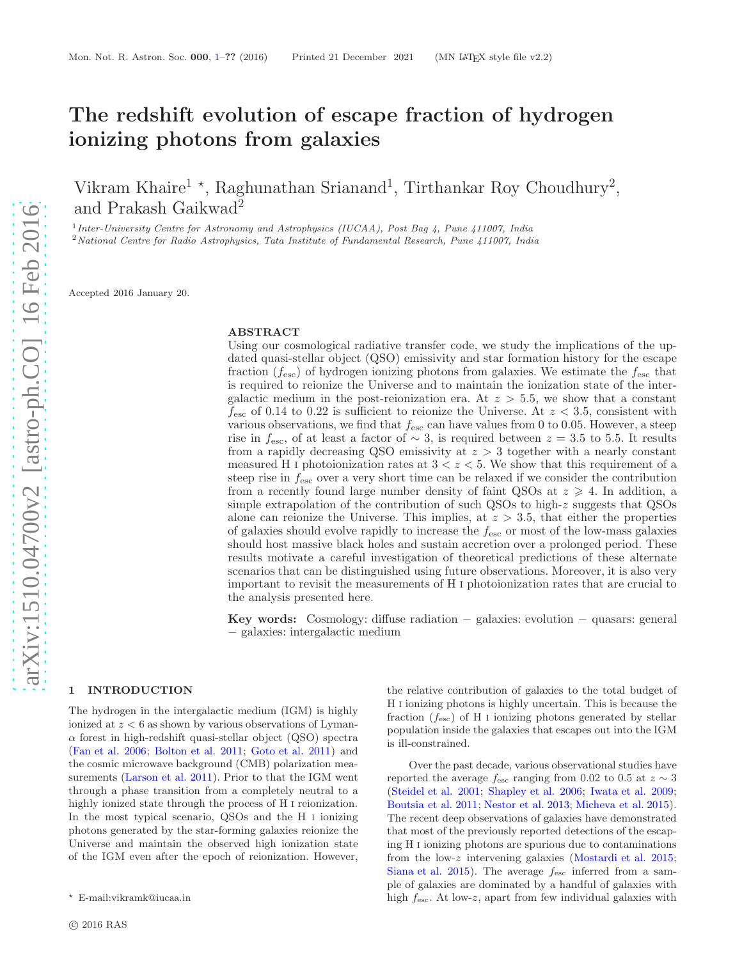# The redshift evolution of escape fraction of hydrogen ionizing photons from galaxies

Vikram Khaire<sup>1</sup><sup>\*</sup>, Raghunathan Srianand<sup>1</sup>, Tirthankar Roy Choudhury<sup>2</sup>, and Prakash Gaikwad<sup>2</sup>

<sup>1</sup> Inter-University Centre for Astronomy and Astrophysics (IUCAA), Post Bag 4, Pune 411007, India

<sup>2</sup> National Centre for Radio Astrophysics, Tata Institute of Fundamental Research, Pune 411007, India

Accepted 2016 January 20.

## ABSTRACT

Using our cosmological radiative transfer code, we study the implications of the updated quasi-stellar object (QSO) emissivity and star formation history for the escape fraction  $(f_{\text{esc}})$  of hydrogen ionizing photons from galaxies. We estimate the  $f_{\text{esc}}$  that is required to reionize the Universe and to maintain the ionization state of the intergalactic medium in the post-reionization era. At  $z > 5.5$ , we show that a constant  $f_{\rm esc}$  of 0.14 to 0.22 is sufficient to reionize the Universe. At  $z < 3.5$ , consistent with various observations, we find that  $f_{\rm esc}$  can have values from 0 to 0.05. However, a steep rise in  $f_{\text{esc}}$ , of at least a factor of ~ 3, is required between  $z = 3.5$  to 5.5. It results from a rapidly decreasing QSO emissivity at  $z > 3$  together with a nearly constant measured H<sub>I</sub> photoionization rates at  $3 < z < 5$ . We show that this requirement of a steep rise in  $f_{\text{esc}}$  over a very short time can be relaxed if we consider the contribution from a recently found large number density of faint QSOs at  $z \geq 4$ . In addition, a simple extrapolation of the contribution of such QSOs to high-z suggests that QSOs alone can reionize the Universe. This implies, at  $z > 3.5$ , that either the properties of galaxies should evolve rapidly to increase the  $f_{\text{esc}}$  or most of the low-mass galaxies should host massive black holes and sustain accretion over a prolonged period. These results motivate a careful investigation of theoretical predictions of these alternate scenarios that can be distinguished using future observations. Moreover, it is also very important to revisit the measurements of H i photoionization rates that are crucial to the analysis presented here.

Key words: Cosmology: diffuse radiation − galaxies: evolution − quasars: general − galaxies: intergalactic medium

#### <span id="page-0-0"></span>1 INTRODUCTION

The hydrogen in the intergalactic medium (IGM) is highly ionized at  $z < 6$  as shown by various observations of Lyman- $\alpha$  forest in high-redshift quasi-stellar object (QSO) spectra [\(Fan et al. 2006](#page-10-0); [Bolton et al. 2011](#page-10-1); [Goto et al. 2011](#page-11-0)) and the cosmic microwave background (CMB) polarization measurements [\(Larson et al. 2011](#page-11-1)). Prior to that the IGM went through a phase transition from a completely neutral to a highly ionized state through the process of H i reionization. In the most typical scenario, QSOs and the H i ionizing photons generated by the star-forming galaxies reionize the Universe and maintain the observed high ionization state of the IGM even after the epoch of reionization. However,

the relative contribution of galaxies to the total budget of H i ionizing photons is highly uncertain. This is because the fraction  $(f_{\text{esc}})$  of H I ionizing photons generated by stellar population inside the galaxies that escapes out into the IGM is ill-constrained.

Over the past decade, various observational studies have reported the average  $f_{\rm esc}$  ranging from 0.02 to 0.5 at  $z \sim 3$ [\(Steidel et al. 2001](#page-11-2); [Shapley et al. 2006](#page-11-3); [Iwata et al. 2009](#page-11-4); [Boutsia et al. 2011](#page-10-2); [Nestor et al. 2013](#page-11-5); [Micheva et al. 2015](#page-11-6)). The recent deep observations of galaxies have demonstrated that most of the previously reported detections of the escaping H i ionizing photons are spurious due to contaminations from the low-z intervening galaxies [\(Mostardi et al. 2015](#page-11-7); [Siana et al. 2015\)](#page-11-8). The average  $f_{\text{esc}}$  inferred from a sample of galaxies are dominated by a handful of galaxies with high  $f_{\text{esc}}$ . At low-z, apart from few individual galaxies with

<sup>⋆</sup> E-mail:vikramk@iucaa.in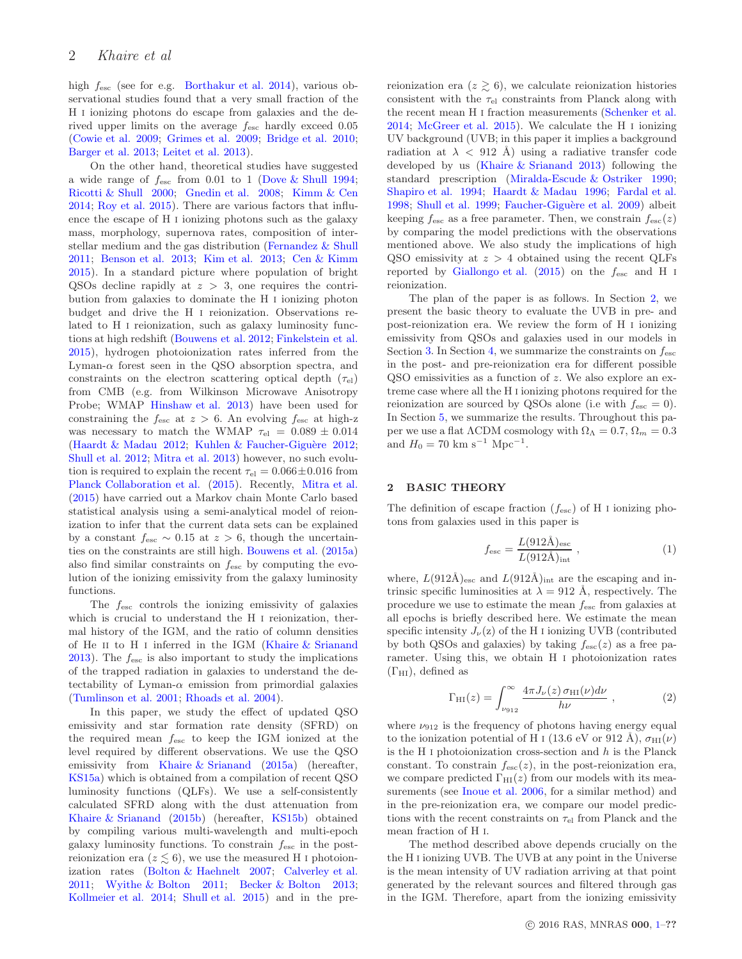high fesc (see for e.g. [Borthakur et al. 2014](#page-10-3)), various observational studies found that a very small fraction of the H i ionizing photons do escape from galaxies and the derived upper limits on the average fesc hardly exceed 0.05 [\(Cowie et al. 2009;](#page-10-4) [Grimes et al. 2009](#page-11-9); [Bridge et al. 2010](#page-10-5); [Barger et al. 2013](#page-10-6); [Leitet et al. 2013](#page-11-10)).

On the other hand, theoretical studies have suggested a wide range of  $f_{\rm esc}$  from 0.01 to 1 [\(Dove & Shull 1994](#page-10-7); [Ricotti & Shull 2000](#page-11-11); [Gnedin et al. 2008](#page-10-8); [Kimm & Cen](#page-11-12) [2014](#page-11-12); [Roy et al. 2015](#page-11-13)). There are various factors that influence the escape of H i ionizing photons such as the galaxy mass, morphology, supernova rates, composition of interstellar medium and the gas distribution [\(Fernandez & Shull](#page-10-9) [2011](#page-10-9); [Benson et al. 2013;](#page-10-10) [Kim et al. 2013](#page-11-14); [Cen & Kimm](#page-10-11) [2015](#page-10-11)). In a standard picture where population of bright QSOs decline rapidly at  $z > 3$ , one requires the contribution from galaxies to dominate the H i ionizing photon budget and drive the H i reionization. Observations related to H i reionization, such as galaxy luminosity functions at high redshift [\(Bouwens et al. 2012](#page-10-12); [Finkelstein et al.](#page-10-13) [2015](#page-10-13)), hydrogen photoionization rates inferred from the Lyman- $\alpha$  forest seen in the QSO absorption spectra, and constraints on the electron scattering optical depth  $(\tau_{el})$ from CMB (e.g. from Wilkinson Microwave Anisotropy Probe; WMAP [Hinshaw et al. 2013\)](#page-11-15) have been used for constraining the  $f_{\text{esc}}$  at  $z > 6$ . An evolving  $f_{\text{esc}}$  at high-z was necessary to match the WMAP  $\tau_{el} = 0.089 \pm 0.014$ [\(Haardt & Madau 2012](#page-11-16); Kuhlen & Faucher-Giguère 2012; [Shull et al. 2012](#page-11-18); [Mitra et al. 2013](#page-11-19)) however, no such evolution is required to explain the recent  $\tau_{el} = 0.066 \pm 0.016$  from [Planck Collaboration et al.](#page-11-20) [\(2015\)](#page-11-20). Recently, [Mitra et al.](#page-11-21) [\(2015](#page-11-21)) have carried out a Markov chain Monte Carlo based statistical analysis using a semi-analytical model of reionization to infer that the current data sets can be explained by a constant  $f_{\text{esc}} \sim 0.15$  at  $z > 6$ , though the uncertainties on the constraints are still high. [Bouwens et al.](#page-10-14) [\(2015a](#page-10-14)) also find similar constraints on  $f_{\text{esc}}$  by computing the evolution of the ionizing emissivity from the galaxy luminosity functions.

The  $f_{\text{esc}}$  controls the ionizing emissivity of galaxies which is crucial to understand the H i reionization, thermal history of the IGM, and the ratio of column densities of He ii to H i inferred in the IGM [\(Khaire & Srianand](#page-11-22) [2013](#page-11-22)). The  $f_{\text{esc}}$  is also important to study the implications of the trapped radiation in galaxies to understand the detectability of Lyman- $\alpha$  emission from primordial galaxies [\(Tumlinson et al. 2001](#page-11-23); [Rhoads et al. 2004](#page-11-24)).

In this paper, we study the effect of updated QSO emissivity and star formation rate density (SFRD) on the required mean  $f_{\text{esc}}$  to keep the IGM ionized at the level required by different observations. We use the QSO emissivity from [Khaire & Srianand](#page-11-25) [\(2015a](#page-11-25)) (hereafter, [KS15a\)](#page-11-25) which is obtained from a compilation of recent QSO luminosity functions (QLFs). We use a self-consistently calculated SFRD along with the dust attenuation from [Khaire & Srianand](#page-11-26) [\(2015b](#page-11-26)) (hereafter, [KS15b\)](#page-11-26) obtained by compiling various multi-wavelength and multi-epoch galaxy luminosity functions. To constrain  $f_{\text{esc}}$  in the postreionization era  $(z \leq 6)$ , we use the measured H I photoionization rates [\(Bolton & Haehnelt 2007](#page-10-15); [Calverley et al.](#page-10-16) [2011](#page-10-16); [Wyithe & Bolton 2011](#page-11-27); [Becker & Bolton 2013](#page-10-17); [Kollmeier et al. 2014;](#page-11-28) [Shull et al. 2015\)](#page-11-29) and in the pre-

reionization era  $(z \ge 6)$ , we calculate reionization histories consistent with the  $\tau_{el}$  constraints from Planck along with the recent mean H i fraction measurements [\(Schenker et al.](#page-11-30) [2014;](#page-11-30) [McGreer et al. 2015\)](#page-11-31). We calculate the H i ionizing UV background (UVB; in this paper it implies a background radiation at  $\lambda$  < 912 Å) using a radiative transfer code developed by us [\(Khaire & Srianand 2013](#page-11-22)) following the standard prescription [\(Miralda-Escude & Ostriker 1990](#page-11-32); [Shapiro et al. 1994](#page-11-33); [Haardt & Madau 1996;](#page-11-34) [Fardal et al.](#page-10-18) [1998;](#page-10-18) [Shull et al. 1999](#page-11-35); Faucher-Giguère et al. 2009) albeit keeping  $f_{\text{esc}}$  as a free parameter. Then, we constrain  $f_{\text{esc}}(z)$ by comparing the model predictions with the observations mentioned above. We also study the implications of high QSO emissivity at  $z > 4$  obtained using the recent QLFs reported by [Giallongo et al.](#page-10-20) [\(2015\)](#page-10-20) on the  $f_{\rm esc}$  and H i reionization.

The plan of the paper is as follows. In Section [2,](#page-1-0) we present the basic theory to evaluate the UVB in pre- and post-reionization era. We review the form of H i ionizing emissivity from QSOs and galaxies used in our models in Section [3.](#page-4-0) In Section [4,](#page-5-0) we summarize the constraints on  $f_{\text{esc}}$ in the post- and pre-reionization era for different possible QSO emissivities as a function of z. We also explore an extreme case where all the H i ionizing photons required for the reionization are sourced by QSOs alone (i.e with  $f_{\text{esc}} = 0$ ). In Section [5,](#page-9-0) we summarize the results. Throughout this paper we use a flat  $\Lambda$ CDM cosmology with  $\Omega_{\Lambda} = 0.7$ ,  $\Omega_m = 0.3$ and  $H_0 = 70 \text{ km s}^{-1} \text{ Mpc}^{-1}$ .

# <span id="page-1-0"></span>2 BASIC THEORY

The definition of escape fraction  $(f_{\text{esc}})$  of H i ionizing photons from galaxies used in this paper is

$$
f_{\rm esc} = \frac{L(912\text{\AA})_{\rm esc}}{L(912\text{\AA})_{\rm int}} \,, \tag{1}
$$

where,  $L(912\text{\AA})_{\text{esc}}$  and  $L(912\text{\AA})_{\text{int}}$  are the escaping and intrinsic specific luminosities at  $\lambda = 912 \text{ Å}$ , respectively. The procedure we use to estimate the mean fesc from galaxies at all epochs is briefly described here. We estimate the mean specific intensity  $J_{\nu}(z)$  of the H I ionizing UVB (contributed by both QSOs and galaxies) by taking  $f_{\rm esc}(z)$  as a free parameter. Using this, we obtain H i photoionization rates  $(\Gamma_{\rm HI})$ , defined as

$$
\Gamma_{\rm HI}(z) = \int_{\nu_{912}}^{\infty} \frac{4\pi J_{\nu}(z) \,\sigma_{\rm HI}(\nu) d\nu}{h\nu} , \qquad (2)
$$

where  $\nu_{912}$  is the frequency of photons having energy equal to the ionization potential of H i (13.6 eV or 912 Å),  $\sigma_{\text{HI}}(\nu)$ is the H $\scriptstyle\rm I$ photoionization cross-section and  $h$  is the Planck constant. To constrain  $f_{\text{esc}}(z)$ , in the post-reionization era, we compare predicted  $\Gamma_{\text{HI}}(z)$  from our models with its measurements (see [Inoue et al. 2006,](#page-11-36) for a similar method) and in the pre-reionization era, we compare our model predictions with the recent constraints on  $\tau_{el}$  from Planck and the mean fraction of H i.

The method described above depends crucially on the the H i ionizing UVB. The UVB at any point in the Universe is the mean intensity of UV radiation arriving at that point generated by the relevant sources and filtered through gas in the IGM. Therefore, apart from the ionizing emissivity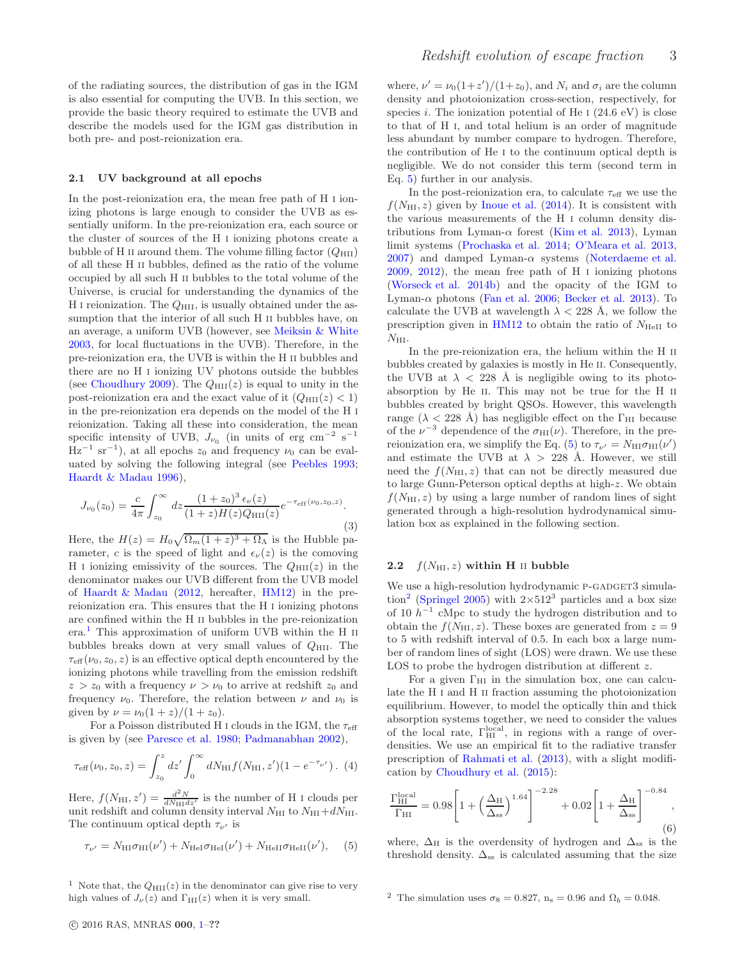of the radiating sources, the distribution of gas in the IGM is also essential for computing the UVB. In this section, we provide the basic theory required to estimate the UVB and describe the models used for the IGM gas distribution in both pre- and post-reionization era.

#### 2.1 UV background at all epochs

In the post-reionization era, the mean free path of H i ionizing photons is large enough to consider the UVB as essentially uniform. In the pre-reionization era, each source or the cluster of sources of the H i ionizing photons create a bubble of H II around them. The volume filling factor  $(Q_{\text{HII}})$ of all these H ii bubbles, defined as the ratio of the volume occupied by all such H ii bubbles to the total volume of the Universe, is crucial for understanding the dynamics of the H I reionization. The  $Q_{\text{HII}}$ , is usually obtained under the assumption that the interior of all such H ii bubbles have, on an average, a uniform UVB (however, see [Meiksin & White](#page-11-37) [2003](#page-11-37), for local fluctuations in the UVB). Therefore, in the pre-reionization era, the UVB is within the H ii bubbles and there are no H i ionizing UV photons outside the bubbles (see [Choudhury 2009](#page-10-21)). The  $Q_{\text{HII}}(z)$  is equal to unity in the post-reionization era and the exact value of it  $(Q_{\text{HII}}(z) < 1)$ in the pre-reionization era depends on the model of the H i reionization. Taking all these into consideration, the mean specific intensity of UVB,  $J_{\nu_0}$  (in units of erg cm<sup>-2</sup> s<sup>-1</sup>  $\text{Hz}^{-1}$  sr<sup>-1</sup>), at all epochs  $z_0$  and frequency  $\nu_0$  can be evaluated by solving the following integral (see [Peebles 1993](#page-11-38); [Haardt & Madau 1996](#page-11-34)),

<span id="page-2-4"></span>
$$
J_{\nu_0}(z_0) = \frac{c}{4\pi} \int_{z_0}^{\infty} dz \frac{(1+z_0)^3 \epsilon_{\nu}(z)}{(1+z)H(z)Q_{\rm HII}(z)} e^{-\tau_{\rm eff}(\nu_0, z_0, z)}.
$$
\n(3)

Here, the  $H(z) = H_0 \sqrt{\Omega_m (1+z)^3 + \Omega_\Lambda}$  is the Hubble parameter, c is the speed of light and  $\epsilon_{\nu}(z)$  is the comoving H I ionizing emissivity of the sources. The  $Q_{\text{HII}}(z)$  in the denominator makes our UVB different from the UVB model of [Haardt & Madau](#page-11-16) [\(2012](#page-11-16), hereafter, [HM12\)](#page-11-16) in the prereionization era. This ensures that the H i ionizing photons are confined within the H ii bubbles in the pre-reionization  $era<sup>1</sup>$  $era<sup>1</sup>$  $era<sup>1</sup>$ . This approximation of uniform UVB within the H  $II$ bubbles breaks down at very small values of  $Q_{\text{HII}}$ . The  $\tau_{\text{eff}}(\nu_0, z_0, z)$  is an effective optical depth encountered by the ionizing photons while travelling from the emission redshift  $z > z_0$  with a frequency  $\nu > \nu_0$  to arrive at redshift  $z_0$  and frequency  $\nu_0$ . Therefore, the relation between  $\nu$  and  $\nu_0$  is given by  $\nu = \nu_0(1+z)/(1+z_0)$ .

For a Poisson distributed H I clouds in the IGM, the  $\tau_{\text{eff}}$ is given by (see [Paresce et al. 1980](#page-11-39); [Padmanabhan 2002](#page-11-40)),

$$
\tau_{\text{eff}}(\nu_0, z_0, z) = \int_{z_0}^{z} dz' \int_0^{\infty} dN_{\text{HI}} f(N_{\text{HI}}, z')(1 - e^{-\tau_{\nu'}}). (4)
$$

Here,  $f(N_{\text{HI}}, z') = \frac{d^2 N}{dN_{\text{HI}} dz'}$  is the number of H I clouds per unit redshift and column density interval  $N_{\rm HI}$  to  $N_{\rm HI}+dN_{\rm HI}$ . The continuum optical depth  $\tau_{\nu'}$  is

<span id="page-2-1"></span>
$$
\tau_{\nu'} = N_{\rm HI} \sigma_{\rm HI}(\nu') + N_{\rm HeI} \sigma_{\rm HeI}(\nu') + N_{\rm HeII} \sigma_{\rm HeII}(\nu'), \quad (5)
$$

<span id="page-2-0"></span><sup>1</sup> Note that, the  $Q_{\text{HII}}(z)$  in the denominator can give rise to very high values of  $J_{\nu}(z)$  and  $\Gamma_{\text{HI}}(z)$  when it is very small.

where,  $\nu' = \nu_0(1+z')/(1+z_0)$ , and  $N_i$  and  $\sigma_i$  are the column density and photoionization cross-section, respectively, for species i. The ionization potential of He  $\text{I}$  (24.6 eV) is close to that of H i, and total helium is an order of magnitude less abundant by number compare to hydrogen. Therefore, the contribution of He i to the continuum optical depth is negligible. We do not consider this term (second term in Eq. [5\)](#page-2-1) further in our analysis.

In the post-reionization era, to calculate  $\tau_{\text{eff}}$  we use the  $f(N_{\rm HI}, z)$  given by [Inoue et al.](#page-11-41) [\(2014](#page-11-41)). It is consistent with the various measurements of the H i column density distributions from Lyman- $\alpha$  forest [\(Kim et al. 2013](#page-11-14)), Lyman limit systems [\(Prochaska et al. 2014](#page-11-42); [O'Meara et al. 2013](#page-11-43), [2007\)](#page-11-44) and damped Lyman- $\alpha$  systems [\(Noterdaeme et al.](#page-11-45) [2009,](#page-11-45) [2012](#page-11-46)), the mean free path of H i ionizing photons [\(Worseck et al. 2014b](#page-11-47)) and the opacity of the IGM to Lyman- $\alpha$  photons [\(Fan et al. 2006;](#page-10-0) [Becker et al. 2013](#page-10-22)). To calculate the UVB at wavelength  $\lambda < 228$  Å, we follow the prescription given in  $HM12$  to obtain the ratio of  $N_{HeII}$  to  $N_{\rm HI}.$ 

In the pre-reionization era, the helium within the H ii bubbles created by galaxies is mostly in He ii. Consequently, the UVB at  $\lambda$  < 228 Å is negligible owing to its photoabsorption by He ii. This may not be true for the H ii bubbles created by bright QSOs. However, this wavelength range ( $\lambda$  < 228 Å) has negligible effect on the  $\Gamma_{\rm HI}$  because of the  $\nu^{-3}$  dependence of the  $\sigma_{\text{HI}}(\nu)$ . Therefore, in the pre-reionization era, we simplify the Eq. [\(5\)](#page-2-1) to  $\tau_{\nu'} = N_{\rm HI} \sigma_{\rm HI}(\nu')$ and estimate the UVB at  $\lambda > 228$  Å. However, we still need the  $f(N_{\text{HI}}, z)$  that can not be directly measured due to large Gunn-Peterson optical depths at high-z. We obtain  $f(N_{\rm HI}, z)$  by using a large number of random lines of sight generated through a high-resolution hydrodynamical simulation box as explained in the following section.

# <span id="page-2-3"></span>2.2  $f(N_{\text{HI}}, z)$  within H II bubble

We use a high-resolution hydrodynamic P-GADGET3 simula-tion<sup>[2](#page-2-2)</sup> [\(Springel 2005](#page-11-48)) with  $2\times512^3$  particles and a box size of 10  $h^{-1}$  cMpc to study the hydrogen distribution and to obtain the  $f(N_{\text{HI}}, z)$ . These boxes are generated from  $z = 9$ to 5 with redshift interval of 0.5. In each box a large number of random lines of sight (LOS) were drawn. We use these LOS to probe the hydrogen distribution at different z.

For a given  $\Gamma_{\text{HI}}$  in the simulation box, one can calculate the H i and H ii fraction assuming the photoionization equilibrium. However, to model the optically thin and thick absorption systems together, we need to consider the values of the local rate,  $\Gamma_{\rm HI}^{\rm local}$ , in regions with a range of overdensities. We use an empirical fit to the radiative transfer prescription of [Rahmati et al.](#page-11-49) [\(2013](#page-11-49)), with a slight modification by [Choudhury et al.](#page-10-23) [\(2015](#page-10-23)):

$$
\frac{\Gamma_{\rm HI}^{\rm local}}{\Gamma_{\rm HI}} = 0.98 \left[ 1 + \left( \frac{\Delta_{\rm H}}{\Delta_{\rm ss}} \right)^{1.64} \right]^{-2.28} + 0.02 \left[ 1 + \frac{\Delta_{\rm H}}{\Delta_{\rm ss}} \right]^{-0.84}, \tag{6}
$$

where,  $\Delta_H$  is the overdensity of hydrogen and  $\Delta_{ss}$  is the threshold density.  $\Delta_{ss}$  is calculated assuming that the size

<span id="page-2-2"></span><sup>&</sup>lt;sup>2</sup> The simulation uses  $\sigma_8 = 0.827$ ,  $n_s = 0.96$  and  $\Omega_b = 0.048$ .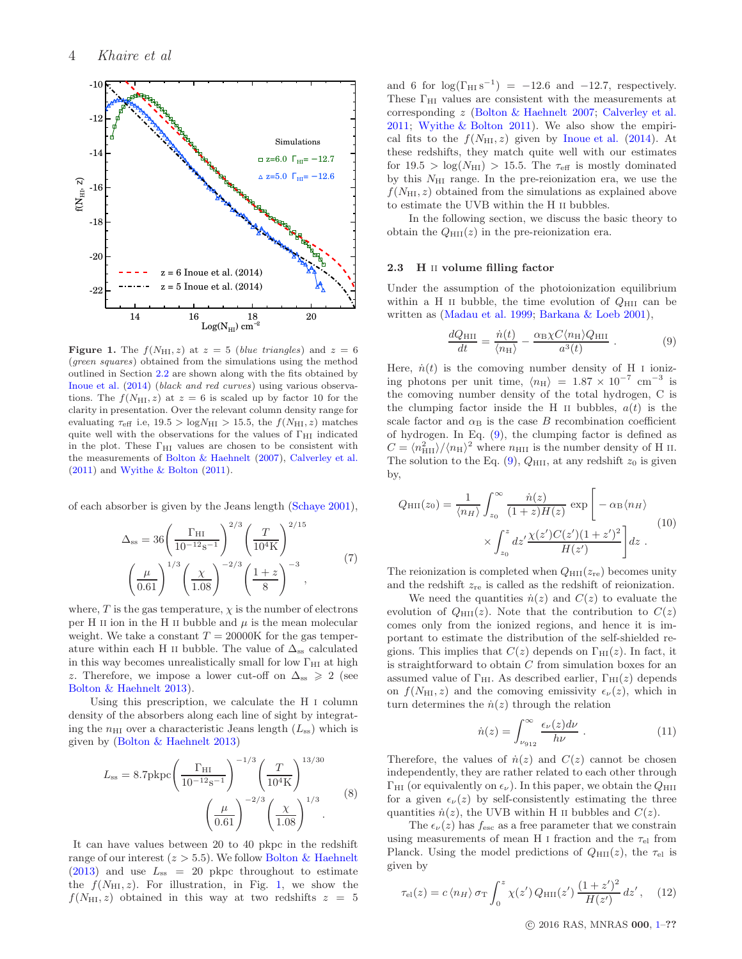

<span id="page-3-0"></span>**Figure 1.** The  $f(N_{\text{HI}}, z)$  at  $z = 5$  (blue triangles) and  $z = 6$ (green squares) obtained from the simulations using the method outlined in Section [2.2](#page-2-3) are shown along with the fits obtained by [Inoue et al.](#page-11-41) [\(2014\)](#page-11-41) (black and red curves) using various observations. The  $f(N_{\text{HI}}, z)$  at  $z = 6$  is scaled up by factor 10 for the clarity in presentation. Over the relevant column density range for evaluating  $\tau_{\text{eff}}$  i.e,  $19.5 > \log N_{\text{HI}} > 15.5$ , the  $f(N_{\text{HI}}, z)$  matches quite well with the observations for the values of  $\Gamma_{\rm HI}$  indicated in the plot. These  $\Gamma_{\rm HI}$  values are chosen to be consistent with the measurements of [Bolton & Haehnelt](#page-10-15) [\(2007](#page-10-15)), [Calverley et al.](#page-10-16) [\(2011\)](#page-10-16) and [Wyithe & Bolton](#page-11-27) [\(2011](#page-11-27)).

of each absorber is given by the Jeans length [\(Schaye 2001](#page-11-50)),

$$
\Delta_{\rm ss} = 36 \left( \frac{\Gamma_{\rm HI}}{10^{-12} \, \text{s}^{-1}} \right)^{2/3} \left( \frac{T}{10^4 \, \text{K}} \right)^{2/15} \left( \frac{\mu}{0.61} \right)^{1/3} \left( \frac{\chi}{1.08} \right)^{-2/3} \left( \frac{1+z}{8} \right)^{-3}, \tag{7}
$$

where, T is the gas temperature,  $\chi$  is the number of electrons per H II ion in the H II bubble and  $\mu$  is the mean molecular weight. We take a constant  $T = 20000K$  for the gas temperature within each H II bubble. The value of  $\Delta_{ss}$  calculated in this way becomes unrealistically small for low  $\Gamma_{\rm HI}$  at high z. Therefore, we impose a lower cut-off on  $\Delta_{ss} \geq 2$  (see [Bolton & Haehnelt 2013](#page-10-24)).

Using this prescription, we calculate the H i column density of the absorbers along each line of sight by integrating the  $n_{\text{HI}}$  over a characteristic Jeans length  $(L_{ss})$  which is given by [\(Bolton & Haehnelt 2013\)](#page-10-24)

$$
L_{\rm ss} = 8.7 \text{pkpc} \left( \frac{\Gamma_{\rm HI}}{10^{-12} \text{s}^{-1}} \right)^{-1/3} \left( \frac{T}{10^4 \text{K}} \right)^{13/30} \left( 8 \right)^{1/3} \left( \frac{\mu}{0.61} \right)^{-2/3} \left( \frac{\chi}{1.08} \right)^{1/3} . \tag{8}
$$

It can have values between 20 to 40 pkpc in the redshift range of our interest  $(z > 5.5)$ . We follow [Bolton & Haehnelt](#page-10-24)  $(2013)$  $(2013)$  and use  $L_{ss}$  = 20 pkpc throughout to estimate the  $f(N_{\text{HI}}, z)$ . For illustration, in Fig. [1,](#page-3-0) we show the  $f(N_{\text{HI}}, z)$  obtained in this way at two redshifts  $z = 5$ 

and 6 for  $\log(\Gamma_{\text{HI}} \text{s}^{-1}) = -12.6$  and  $-12.7$ , respectively. These  $\Gamma_{\text{HI}}$  values are consistent with the measurements at corresponding z [\(Bolton & Haehnelt 2007;](#page-10-15) [Calverley et al.](#page-10-16) [2011;](#page-10-16) [Wyithe & Bolton 2011](#page-11-27)). We also show the empirical fits to the  $f(N_{\text{HI}}, z)$  given by [Inoue et al.](#page-11-41) [\(2014](#page-11-41)). At these redshifts, they match quite well with our estimates for  $19.5 > \log(N_{\text{HI}}) > 15.5$ . The  $\tau_{\text{eff}}$  is mostly dominated by this  $N_{\rm HI}$  range. In the pre-reionization era, we use the  $f(N_{\rm HI}, z)$  obtained from the simulations as explained above to estimate the UVB within the H ii bubbles.

In the following section, we discuss the basic theory to obtain the  $Q_{\text{HII}}(z)$  in the pre-reionization era.

#### 2.3 H ii volume filling factor

Under the assumption of the photoionization equilibrium within a H II bubble, the time evolution of  $Q_{\text{HII}}$  can be written as [\(Madau et al. 1999](#page-11-51); [Barkana & Loeb 2001](#page-10-25)),

<span id="page-3-1"></span>
$$
\frac{dQ_{\rm HII}}{dt} = \frac{\dot{n}(t)}{\langle n_{\rm H} \rangle} - \frac{\alpha_{\rm B} \chi C \langle n_{\rm H} \rangle Q_{\rm HII}}{a^3(t)} \ . \tag{9}
$$

Here,  $\dot{n}(t)$  is the comoving number density of H I ionizing photons per unit time,  $\langle n_{\text{H}} \rangle = 1.87 \times 10^{-7} \text{ cm}^{-3}$  is the comoving number density of the total hydrogen, C is the clumping factor inside the H II bubbles,  $a(t)$  is the scale factor and  $\alpha_B$  is the case B recombination coefficient of hydrogen. In Eq. [\(9\)](#page-3-1), the clumping factor is defined as  $C = \langle n_{\rm HII}^2 \rangle / \langle n_{\rm H} \rangle^2$  where  $n_{\rm HII}$  is the number density of H II. The solution to the Eq.  $(9)$ ,  $Q_{\text{HII}}$ , at any redshift  $z_0$  is given by,

<span id="page-3-2"></span>
$$
Q_{\rm HII}(z_0) = \frac{1}{\langle n_H \rangle} \int_{z_0}^{\infty} \frac{\dot{n}(z)}{(1+z)H(z)} \exp\left[-\alpha_{\rm B} \langle n_H \rangle \right] \times \int_{z_0}^{z} dz' \frac{\chi(z')C(z')(1+z')^2}{H(z')} dz . \tag{10}
$$

The reionization is completed when  $Q_{\text{HII}}(z_{\text{re}})$  becomes unity and the redshift  $z_{\text{re}}$  is called as the redshift of reionization.

We need the quantities  $\dot{n}(z)$  and  $C(z)$  to evaluate the evolution of  $Q_{\text{HII}}(z)$ . Note that the contribution to  $C(z)$ comes only from the ionized regions, and hence it is important to estimate the distribution of the self-shielded regions. This implies that  $C(z)$  depends on  $\Gamma_{\text{HI}}(z)$ . In fact, it is straightforward to obtain  $C$  from simulation boxes for an assumed value of  $\Gamma_{\text{HI}}$ . As described earlier,  $\Gamma_{\text{HI}}(z)$  depends on  $f(N_{\text{HI}}, z)$  and the comoving emissivity  $\epsilon_{\nu}(z)$ , which in turn determines the  $\dot{n}(z)$  through the relation

$$
\dot{n}(z) = \int_{\nu_{912}}^{\infty} \frac{\epsilon_{\nu}(z) d\nu}{h\nu} . \tag{11}
$$

Therefore, the values of  $\dot{n}(z)$  and  $C(z)$  cannot be chosen independently, they are rather related to each other through  $\Gamma_{\rm HI}$  (or equivalently on  $\epsilon_{\nu}$ ). In this paper, we obtain the  $Q_{\rm HII}$ for a given  $\epsilon_{\nu}(z)$  by self-consistently estimating the three quantities  $\dot{n}(z)$ , the UVB within H II bubbles and  $C(z)$ .

The  $\epsilon_{\nu}(z)$  has  $f_{\text{esc}}$  as a free parameter that we constrain using measurements of mean H I fraction and the  $\tau_{el}$  from Planck. Using the model predictions of  $Q_{\text{HII}}(z)$ , the  $\tau_{el}$  is given by

$$
\tau_{\rm el}(z) = c \langle n_H \rangle \, \sigma_{\rm T} \int_0^z \chi(z') \, Q_{\rm HII}(z') \, \frac{(1+z')^2}{H(z')} \, dz', \quad (12)
$$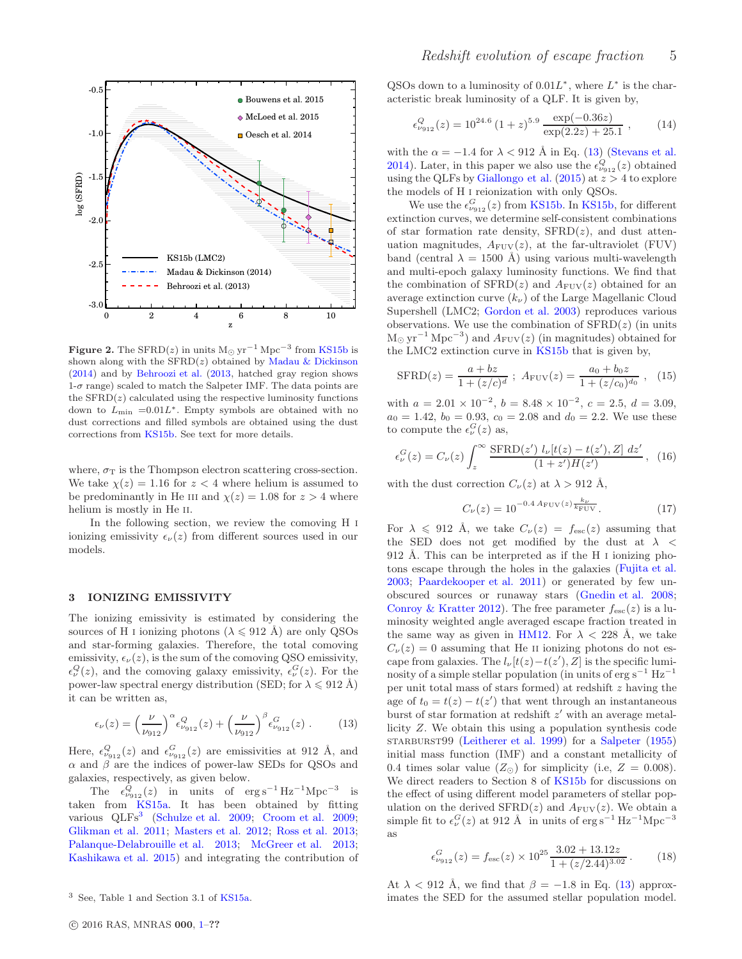

<span id="page-4-3"></span>**Figure 2.** The SFRD(z) in units  $M_{\odot}$  yr<sup>-1</sup> Mpc<sup>-3</sup> from [KS15b](#page-11-26) is shown along with the  $SFRD(z)$  obtained by [Madau & Dickinson](#page-11-52) [\(2014\)](#page-11-52) and by [Behroozi et al.](#page-10-26) [\(2013](#page-10-26), hatched gray region shows  $1-\sigma$  range) scaled to match the Salpeter IMF. The data points are the  $SFRD(z)$  calculated using the respective luminosity functions down to  $L_{\text{min}}$  =0.01 $L^*$ . Empty symbols are obtained with no dust corrections and filled symbols are obtained using the dust corrections from [KS15b.](#page-11-26) See text for more details.

where,  $\sigma_T$  is the Thompson electron scattering cross-section. We take  $\chi(z) = 1.16$  for  $z < 4$  where helium is assumed to be predominantly in He III and  $\chi(z) = 1.08$  for  $z > 4$  where helium is mostly in He II.

In the following section, we review the comoving H i ionizing emissivity  $\epsilon_{\nu}(z)$  from different sources used in our models.

# <span id="page-4-0"></span>3 IONIZING EMISSIVITY

The ionizing emissivity is estimated by considering the sources of H I ionizing photons ( $\lambda \le 912$  Å) are only QSOs and star-forming galaxies. Therefore, the total comoving emissivity,  $\epsilon_{\nu}(z)$ , is the sum of the comoving QSO emissivity,  $\epsilon_{\nu}^{Q}(z)$ , and the comoving galaxy emissivity,  $\epsilon_{\nu}^{G}(z)$ . For the power-law spectral energy distribution (SED; for  $\lambda \leq 912 \text{ Å}$ ) it can be written as,

<span id="page-4-2"></span>
$$
\epsilon_{\nu}(z) = \left(\frac{\nu}{\nu_{912}}\right)^{\alpha} \epsilon_{\nu_{912}}^{Q}(z) + \left(\frac{\nu}{\nu_{912}}\right)^{\beta} \epsilon_{\nu_{912}}^{G}(z) . \tag{13}
$$

Here,  $\epsilon_{\nu_{912}}^Q(z)$  and  $\epsilon_{\nu_{912}}^G(z)$  are emissivities at 912 Å, and  $\alpha$  and  $\beta$  are the indices of power-law SEDs for QSOs and galaxies, respectively, as given below.

The  $\epsilon_{\nu_{912}}^Q(z)$  in units of  $\text{erg s}^{-1} \text{Hz}^{-1} \text{Mpc}^{-3}$  is taken from [KS15a.](#page-11-25) It has been obtained by fitting various QLFs<sup>[3](#page-4-1)</sup> [\(Schulze et al. 2009](#page-11-53); [Croom et al. 2009](#page-10-27); [Glikman et al. 2011](#page-10-28); [Masters et al. 2012](#page-11-54); [Ross et al. 2013](#page-11-55); [Palanque-Delabrouille et al. 2013;](#page-11-56) [McGreer et al. 2013](#page-11-57); [Kashikawa et al. 2015](#page-11-58)) and integrating the contribution of

QSOs down to a luminosity of  $0.01L^*$ , where  $L^*$  is the characteristic break luminosity of a QLF. It is given by,

<span id="page-4-5"></span>
$$
\epsilon_{\nu_{912}}^Q(z) = 10^{24.6} (1+z)^{5.9} \frac{\exp(-0.36z)}{\exp(2.2z) + 25.1}, \qquad (14)
$$

with the  $\alpha = -1.4$  for  $\lambda < 912$  Å in Eq. [\(13\)](#page-4-2) [\(Stevans et al.](#page-11-59) [2014\)](#page-11-59). Later, in this paper we also use the  $\epsilon_{\nu_{912}}^Q(z)$  obtained using the QLFs by [Giallongo et al.](#page-10-20)  $(2015)$  $(2015)$  at  $z > 4$  to explore the models of H i reionization with only QSOs.

We use the  $\epsilon_{\nu_{912}}^G(z)$  from [KS15b](#page-11-26). In [KS15b,](#page-11-26) for different extinction curves, we determine self-consistent combinations of star formation rate density,  $SFRD(z)$ , and dust attenuation magnitudes,  $A_{\text{FUV}}(z)$ , at the far-ultraviolet (FUV) band (central  $\lambda = 1500$  Å) using various multi-wavelength and multi-epoch galaxy luminosity functions. We find that the combination of  $SFRD(z)$  and  $A_{FUV}(z)$  obtained for an average extinction curve  $(k_{\nu})$  of the Large Magellanic Cloud Supershell (LMC2; [Gordon et al. 2003\)](#page-10-29) reproduces various observations. We use the combination of  $SFRD(z)$  (in units  $M_{\odot}$  yr<sup>-1</sup> Mpc<sup>-3</sup>) and  $A_{\rm FUV}(z)$  (in magnitudes) obtained for the LMC2 extinction curve in [KS15b](#page-11-26) that is given by,

<span id="page-4-4"></span>
$$
\text{SFRD}(z) = \frac{a + bz}{1 + (z/c)^d} \; ; \; A_{\text{FUV}}(z) = \frac{a_0 + b_0 z}{1 + (z/c_0)^{d_0}} \; , \; (15)
$$

with  $a = 2.01 \times 10^{-2}$ ,  $b = 8.48 \times 10^{-2}$ ,  $c = 2.5$ ,  $d = 3.09$ ,  $a_0 = 1.42, b_0 = 0.93, c_0 = 2.08$  and  $d_0 = 2.2$ . We use these to compute the  $\epsilon_{\nu}^{G}(z)$  as,

$$
\epsilon_{\nu}^{G}(z) = C_{\nu}(z) \int_{z}^{\infty} \frac{\text{SFRD}(z') \ l_{\nu}[t(z) - t(z'), Z] \ dz'}{(1 + z')H(z')} , \tag{16}
$$

with the dust correction  $C_{\nu}(z)$  at  $\lambda > 912 \text{ Å}$ ,

$$
C_{\nu}(z) = 10^{-0.4} \, {}^{A}_{\text{FUV}}(z) \frac{k_{\nu}}{k_{\text{FUV}}}.
$$
 (17)

For  $\lambda \leq 912$  Å, we take  $C_{\nu}(z) = f_{\rm esc}(z)$  assuming that the SED does not get modified by the dust at  $\lambda$  < 912 Å. This can be interpreted as if the H  $\scriptstyle\rm I$  ionizing photons escape through the holes in the galaxies [\(Fujita et al.](#page-10-30) [2003;](#page-10-30) [Paardekooper et al. 2011](#page-11-60)) or generated by few unobscured sources or runaway stars [\(Gnedin et al. 2008](#page-10-8); [Conroy & Kratter 2012](#page-10-31)). The free parameter  $f_{\text{esc}}(z)$  is a luminosity weighted angle averaged escape fraction treated in the same way as given in [HM12](#page-11-16). For  $\lambda < 228$  Å, we take  $C_{\nu}(z) = 0$  assuming that He II ionizing photons do not escape from galaxies. The  $l_{\nu}[t(z)-t(z'), Z]$  is the specific luminosity of a simple stellar population (in units of  $erg s^{-1} Hz^{-1}$ per unit total mass of stars formed) at redshift  $z$  having the age of  $t_0 = t(z) - t(z')$  that went through an instantaneous burst of star formation at redshift  $z'$  with an average metallicity Z. We obtain this using a population synthesis code starburst99 [\(Leitherer et al. 1999\)](#page-11-61) for a [Salpeter](#page-11-62) [\(1955](#page-11-62)) initial mass function (IMF) and a constant metallicity of 0.4 times solar value  $(Z_{\odot})$  for simplicity (i.e,  $Z = 0.008$ ). We direct readers to Section 8 of [KS15b](#page-11-26) for discussions on the effect of using different model parameters of stellar population on the derived  $\text{SFRD}(z)$  and  $A_{\text{FUV}}(z)$ . We obtain a simple fit to  $\epsilon_{\nu}^{G}(z)$  at 912 Å in units of  $\text{erg s}^{-1}\text{Hz}^{-1}\text{Mpc}^{-3}$ as

$$
\epsilon_{\nu_{912}}^G(z) = f_{\rm esc}(z) \times 10^{25} \frac{3.02 + 13.12z}{1 + (z/2.44)^{3.02}}.
$$
 (18)

At  $\lambda$  < 912 Å, we find that  $\beta = -1.8$  in Eq. [\(13\)](#page-4-2) approximates the SED for the assumed stellar population model.

<span id="page-4-1"></span><sup>3</sup> See, Table 1 and Section 3.1 of [KS15a.](#page-11-25)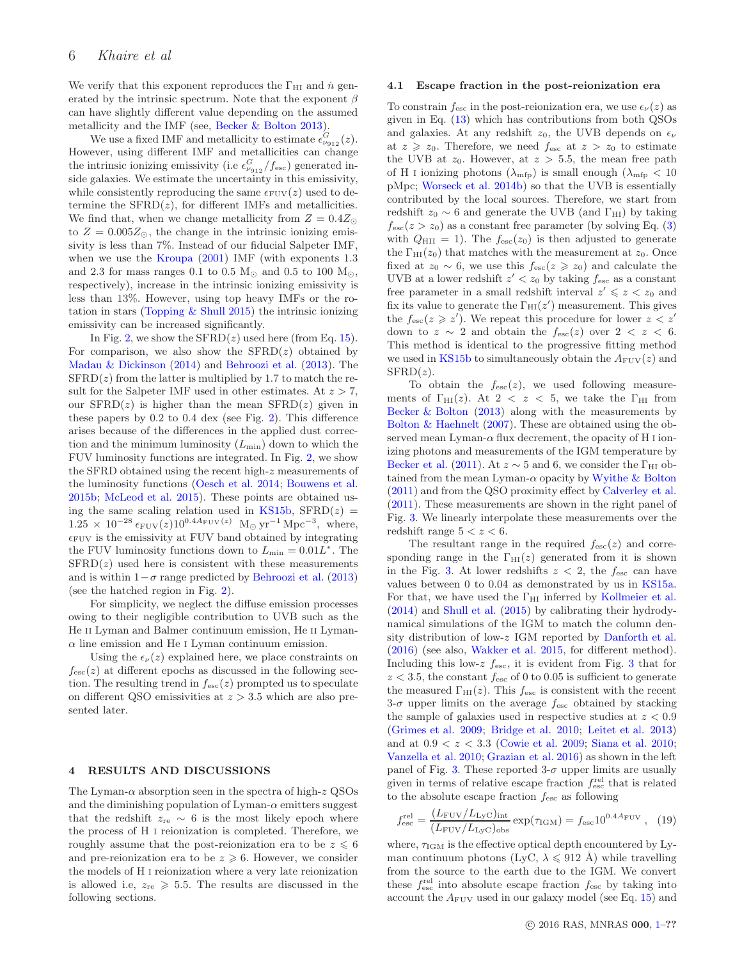We verify that this exponent reproduces the  $\Gamma_{\rm HI}$  and  $\dot{n}$  generated by the intrinsic spectrum. Note that the exponent  $\beta$ can have slightly different value depending on the assumed metallicity and the IMF (see, [Becker & Bolton 2013](#page-10-17)).

We use a fixed IMF and metallicity to estimate  $\epsilon_{\nu_{912}}^G(z)$ . However, using different IMF and metallicities can change the intrinsic ionizing emissivity (i.e  $\epsilon_{\nu_{912}}^G/f_{\rm esc}$ ) generated inside galaxies. We estimate the uncertainty in this emissivity, while consistently reproducing the same  $\epsilon_{\text{FUV}}(z)$  used to determine the  $SFRD(z)$ , for different IMFs and metallicities. We find that, when we change metallicity from  $Z = 0.4Z_{\odot}$ to  $Z = 0.005 Z_{\odot}$ , the change in the intrinsic ionizing emissivity is less than 7%. Instead of our fiducial Salpeter IMF, when we use the [Kroupa](#page-11-63)  $(2001)$  $(2001)$  IMF (with exponents 1.3) and 2.3 for mass ranges 0.1 to 0.5  $M_{\odot}$  and 0.5 to 100  $M_{\odot}$ , respectively), increase in the intrinsic ionizing emissivity is less than 13%. However, using top heavy IMFs or the rotation in stars (Topping  $&$  Shull 2015) the intrinsic ionizing emissivity can be increased significantly.

In Fig. [2,](#page-4-3) we show the  $SFRD(z)$  used here (from Eq. [15\)](#page-4-4). For comparison, we also show the  $SFRD(z)$  obtained by [Madau & Dickinson](#page-11-52) [\(2014](#page-11-52)) and [Behroozi et al.](#page-10-26) [\(2013](#page-10-26)). The  $SFRD(z)$  from the latter is multiplied by 1.7 to match the result for the Salpeter IMF used in other estimates. At  $z > 7$ , our  $SFRD(z)$  is higher than the mean  $SFRD(z)$  given in these papers by 0.2 to 0.4 dex (see Fig. [2\)](#page-4-3). This difference arises because of the differences in the applied dust correction and the minimum luminosity  $(L_{\text{min}})$  down to which the FUV luminosity functions are integrated. In Fig. [2,](#page-4-3) we show the SFRD obtained using the recent high-z measurements of the luminosity functions [\(Oesch et al. 2014;](#page-11-65) [Bouwens et al.](#page-10-32) [2015b](#page-10-32); [McLeod et al. 2015](#page-11-66)). These points are obtained us-ing the same scaling relation used in [KS15b,](#page-11-26)  $SFRD(z)$  =  $1.25 \times 10^{-28} \epsilon_{\text{FUV}}(z) 10^{0.4A_{\text{FUV}}(z)}$  M<sub>☉</sub> yr<sup>-1</sup> Mpc<sup>-3</sup>, where,  $\epsilon_{\text{FUV}}$  is the emissivity at FUV band obtained by integrating the FUV luminosity functions down to  $L_{\text{min}} = 0.01L^*$ . The  $SFRD(z)$  used here is consistent with these measurements and is within  $1-\sigma$  range predicted by [Behroozi et al.](#page-10-26) [\(2013](#page-10-26)) (see the hatched region in Fig. [2\)](#page-4-3).

For simplicity, we neglect the diffuse emission processes owing to their negligible contribution to UVB such as the He ii Lyman and Balmer continuum emission, He ii Lyman- $\alpha$  line emission and He I Lyman continuum emission.

Using the  $\epsilon_{\nu}(z)$  explained here, we place constraints on  $f_{\rm esc}(z)$  at different epochs as discussed in the following section. The resulting trend in  $f_{\rm esc}(z)$  prompted us to speculate on different QSO emissivities at  $z > 3.5$  which are also presented later.

#### <span id="page-5-0"></span>4 RESULTS AND DISCUSSIONS

The Lyman- $\alpha$  absorption seen in the spectra of high- $z$  QSOs and the diminishing population of Lyman- $\alpha$  emitters suggest that the redshift  $z_{\text{re}} \sim 6$  is the most likely epoch where the process of H i reionization is completed. Therefore, we roughly assume that the post-reionization era to be  $z \leq 6$ and pre-reionization era to be  $z \geq 6$ . However, we consider the models of H i reionization where a very late reionization is allowed i.e,  $z_{\text{re}} \geqslant 5.5$ . The results are discussed in the following sections.

#### <span id="page-5-2"></span>4.1 Escape fraction in the post-reionization era

To constrain  $f_{\text{esc}}$  in the post-reionization era, we use  $\epsilon_{\nu}(z)$  as given in Eq. [\(13\)](#page-4-2) which has contributions from both QSOs and galaxies. At any redshift  $z_0$ , the UVB depends on  $\epsilon_{\nu}$ at  $z \geq z_0$ . Therefore, we need  $f_{\text{esc}}$  at  $z > z_0$  to estimate the UVB at  $z_0$ . However, at  $z > 5.5$ , the mean free path of H i ionizing photons  $(\lambda_{\text{mfp}})$  is small enough  $(\lambda_{\text{mfp}} < 10$ pMpc; [Worseck et al. 2014b](#page-11-47)) so that the UVB is essentially contributed by the local sources. Therefore, we start from redshift  $z_0 \sim 6$  and generate the UVB (and  $\Gamma_{\text{HI}}$ ) by taking  $f_{\rm esc}(z > z_0)$  as a constant free parameter (by solving Eq. [\(3\)](#page-2-4) with  $Q_{\text{HII}} = 1$ ). The  $f_{\text{esc}}(z_0)$  is then adjusted to generate the  $\Gamma_{\text{HI}}(z_0)$  that matches with the measurement at  $z_0$ . Once fixed at  $z_0 \sim 6$ , we use this  $f_{\text{esc}}(z \geq z_0)$  and calculate the UVB at a lower redshift  $z' < z_0$  by taking  $f_{\text{esc}}$  as a constant free parameter in a small redshift interval  $z' \leq z \leq z_0$  and fix its value to generate the  $\Gamma_{\rm HI}(z')$  measurement. This gives the  $f_{\text{esc}}(z \geq z')$ . We repeat this procedure for lower  $z < z'$ down to  $z \sim 2$  and obtain the  $f_{\rm esc}(z)$  over  $2 < z < 6$ . This method is identical to the progressive fitting method we used in [KS15b](#page-11-26) to simultaneously obtain the  $A_{\text{FUV}}(z)$  and  $SFRD(z)$ .

To obtain the  $f_{\text{esc}}(z)$ , we used following measurements of  $\Gamma_{\text{HI}}(z)$ . At  $2 < z < 5$ , we take the  $\Gamma_{\text{HI}}$  from Becker  $&$  Bolton [\(2013](#page-10-17)) along with the measurements by [Bolton & Haehnelt](#page-10-15) [\(2007](#page-10-15)). These are obtained using the observed mean Lyman- $\alpha$  flux decrement, the opacity of H<sub>I</sub> ionizing photons and measurements of the IGM temperature by [Becker et al.](#page-10-33) [\(2011](#page-10-33)). At  $z \sim 5$  and 6, we consider the  $\Gamma_{\rm HI}$  obtained from the mean Lyman- $\alpha$  opacity by [Wyithe & Bolton](#page-11-27) [\(2011](#page-11-27)) and from the QSO proximity effect by [Calverley et al.](#page-10-16) [\(2011](#page-10-16)). These measurements are shown in the right panel of Fig. [3.](#page-6-0) We linearly interpolate these measurements over the redshift range  $5 < z < 6$ .

The resultant range in the required  $f_{\rm esc}(z)$  and corresponding range in the  $\Gamma_{\text{HI}}(z)$  generated from it is shown in the Fig. [3.](#page-6-0) At lower redshifts  $z < 2$ , the  $f_{\text{esc}}$  can have values between 0 to 0.04 as demonstrated by us in [KS15a](#page-11-25). For that, we have used the  $\Gamma_{\rm HI}$  inferred by [Kollmeier et al.](#page-11-28) [\(2014](#page-11-28)) and [Shull et al.](#page-11-29) [\(2015\)](#page-11-29) by calibrating their hydrodynamical simulations of the IGM to match the column density distribution of low-z IGM reported by [Danforth et al.](#page-10-34) [\(2016](#page-10-34)) (see also, [Wakker et al. 2015,](#page-11-67) for different method). Including this low-z  $f_{\text{esc}}$ , it is evident from Fig. [3](#page-6-0) that for  $z < 3.5$ , the constant  $f_{\text{esc}}$  of 0 to 0.05 is sufficient to generate the measured  $\Gamma_{\text{HI}}(z)$ . This  $f_{\text{esc}}$  is consistent with the recent 3- $\sigma$  upper limits on the average  $f_{\text{esc}}$  obtained by stacking the sample of galaxies used in respective studies at  $z < 0.9$ [\(Grimes et al. 2009](#page-11-9); [Bridge et al. 2010](#page-10-5); [Leitet et al. 2013](#page-11-10)) and at  $0.9 < z < 3.3$  [\(Cowie et al. 2009](#page-10-4); [Siana et al. 2010](#page-11-68); [Vanzella et al. 2010](#page-11-69); [Grazian et al. 2016\)](#page-11-70) as shown in the left panel of Fig. [3.](#page-6-0) These reported  $3-\sigma$  upper limits are usually given in terms of relative escape fraction  $f_{\text{esc}}^{\text{rel}}$  that is related to the absolute escape fraction  $f_{\text{esc}}$  as following

<span id="page-5-1"></span>
$$
f_{\rm esc}^{\rm rel} = \frac{(L_{\rm FUV}/L_{\rm LyC})_{\rm int}}{(L_{\rm FUV}/L_{\rm LyC})_{\rm obs}} \exp(\tau_{\rm IGM}) = f_{\rm esc} 10^{0.4A_{\rm FUV}} , \quad (19)
$$

where,  $\tau_{\text{IGM}}$  is the effective optical depth encountered by Lyman continuum photons (LyC,  $\lambda \leq 912 \text{ Å}$ ) while travelling from the source to the earth due to the IGM. We convert these  $f_{\text{esc}}^{\text{rel}}$  into absolute escape fraction  $f_{\text{esc}}$  by taking into account the  $A_{\text{FUV}}$  used in our galaxy model (see Eq. [15\)](#page-4-4) and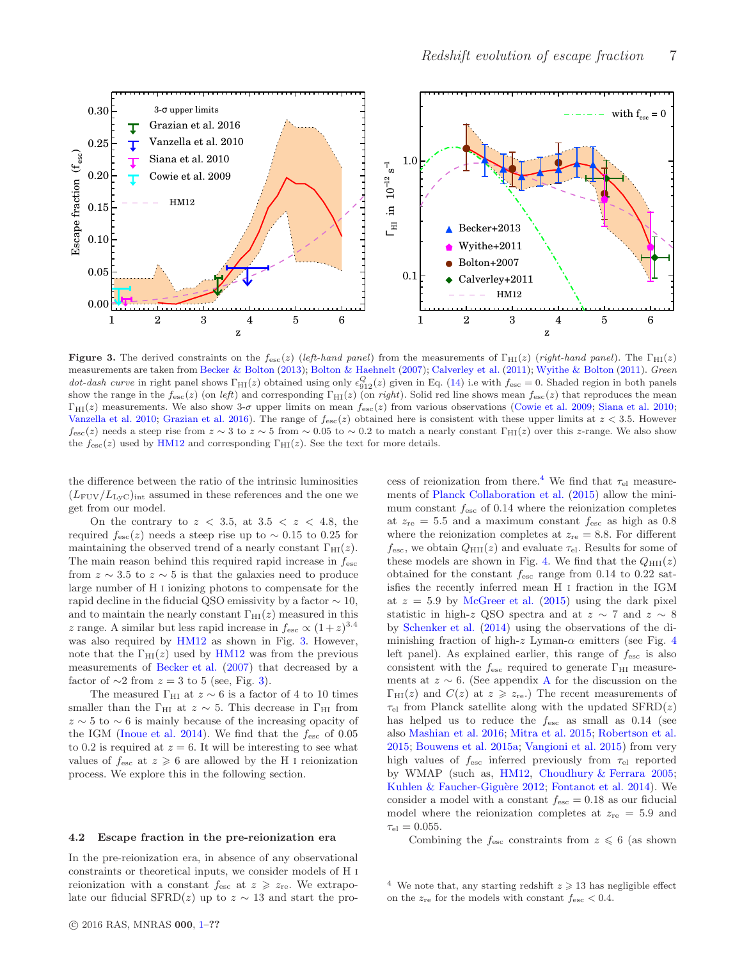

<span id="page-6-0"></span>**Figure 3.** The derived constraints on the  $f_{\text{esc}}(z)$  (left-hand panel) from the measurements of  $\Gamma_{\text{HI}}(z)$  (right-hand panel). The  $\Gamma_{\text{HI}}(z)$ measurements are taken from [Becker & Bolton](#page-10-17) [\(2013\)](#page-10-17); [Bolton & Haehnelt](#page-10-15) [\(2007\)](#page-10-15); [Calverley et al.](#page-10-16) [\(2011\)](#page-11-27); [Wyithe & Bolton](#page-11-27) (2011). Green dot-dash curve in right panel shows  $\Gamma_{\text{HI}}(z)$  obtained using only  $\epsilon_{912}^{Q}(z)$  given in Eq. [\(14\)](#page-4-5) i.e with  $f_{\text{esc}} = 0$ . Shaded region in both panels show the range in the  $f_{\text{esc}}(z)$  (on left) and corresponding  $\Gamma_{\text{HI}}(z)$  (on right). Solid red line shows mean  $f_{\text{esc}}(z)$  that reproduces the mean  $\Gamma_{\text{HI}}(z)$  measurements. We also show 3-σ upper limits on mean  $f_{\text{esc}}(z)$  from various observations [\(Cowie et al. 2009;](#page-10-4) [Siana et al. 2010](#page-11-68); [Vanzella et al. 2010](#page-11-69); [Grazian et al. 2016](#page-11-70)). The range of  $f_{\text{esc}}(z)$  obtained here is consistent with these upper limits at  $z < 3.5$ . However  $f_{\rm esc}(z)$  needs a steep rise from  $z \sim 3$  to  $z \sim 5$  from  $\sim 0.05$  to  $\sim 0.2$  to match a nearly constant  $\Gamma_{\rm HI}(z)$  over this z-range. We also show the  $f_{\text{esc}}(z)$  used by [HM12](#page-11-16) and corresponding  $\Gamma_{\text{HI}}(z)$ . See the text for more details.

the difference between the ratio of the intrinsic luminosities  $(L_{\text{FUV}}/L_{\text{LVC}})_{\text{int}}$  assumed in these references and the one we get from our model.

On the contrary to  $z < 3.5$ , at  $3.5 < z < 4.8$ , the required  $f_{\rm esc}(z)$  needs a steep rise up to ~ 0.15 to 0.25 for maintaining the observed trend of a nearly constant  $\Gamma_{\text{HI}}(z)$ . The main reason behind this required rapid increase in  $f_{\text{esc}}$ from  $z \sim 3.5$  to  $z \sim 5$  is that the galaxies need to produce large number of H i ionizing photons to compensate for the rapid decline in the fiducial QSO emissivity by a factor  $\sim 10$ , and to maintain the nearly constant  $\Gamma_{\text{HI}}(z)$  measured in this z range. A similar but less rapid increase in  $f_{\text{esc}} \propto (1+z)^{3.4}$ was also required by  $HM12$  as shown in Fig. [3.](#page-6-0) However, note that the  $\Gamma_{\text{HI}}(z)$  used by [HM12](#page-11-16) was from the previous measurements of [Becker et al.](#page-10-35) [\(2007](#page-10-35)) that decreased by a factor of  $\sim$ 2 from  $z = 3$  to 5 (see, Fig. [3\)](#page-6-0).

The measured  $\Gamma_{\text{HI}}$  at  $z \sim 6$  is a factor of 4 to 10 times smaller than the  $\Gamma_{\text{HI}}$  at  $z \sim 5$ . This decrease in  $\Gamma_{\text{HI}}$  from  $z \sim 5$  to  $\sim 6$  is mainly because of the increasing opacity of the IGM [\(Inoue et al. 2014](#page-11-41)). We find that the  $f_{\text{esc}}$  of 0.05 to 0.2 is required at  $z = 6$ . It will be interesting to see what values of  $f_{\text{esc}}$  at  $z \ge 6$  are allowed by the H I reionization process. We explore this in the following section.

# <span id="page-6-2"></span>4.2 Escape fraction in the pre-reionization era

In the pre-reionization era, in absence of any observational constraints or theoretical inputs, we consider models of H i reionization with a constant  $f_{\text{esc}}$  at  $z \geq z_{\text{re}}$ . We extrapolate our fiducial SFRD(z) up to  $z \sim 13$  and start the pro-

cess of reionization from there.<sup>[4](#page-6-1)</sup> We find that  $\tau_{el}$  measurements of [Planck Collaboration et al.](#page-11-20) [\(2015](#page-11-20)) allow the minimum constant  $f_{\text{esc}}$  of 0.14 where the reionization completes at  $z_{\text{re}} = 5.5$  and a maximum constant  $f_{\text{esc}}$  as high as 0.8 where the reionization completes at  $z_{\text{re}} = 8.8$ . For different  $f_{\text{esc}}$ , we obtain  $Q_{\text{HII}}(z)$  and evaluate  $\tau_{\text{el}}$ . Results for some of these models are shown in Fig. [4.](#page-7-0) We find that the  $Q_{\text{HII}}(z)$ obtained for the constant  $f_{\text{esc}}$  range from 0.14 to 0.22 satisfies the recently inferred mean H i fraction in the IGM at  $z = 5.9$  by [McGreer et al.](#page-11-31) [\(2015](#page-11-31)) using the dark pixel statistic in high-z QSO spectra and at  $z \sim 7$  and  $z \sim 8$ by [Schenker et al.](#page-11-30) [\(2014\)](#page-11-30) using the observations of the diminishing fraction of high-z Lyman- $\alpha$  emitters (see Fig. [4](#page-7-0)) left panel). As explained earlier, this range of  $f_{\text{esc}}$  is also consistent with the  $f_{\text{esc}}$  required to generate  $\Gamma_{\text{HI}}$  measurements at  $z \sim 6$ . (See appendix [A](#page-11-71) for the discussion on the  $\Gamma_{\text{HI}}(z)$  and  $C(z)$  at  $z \geq z_{\text{re}}$ . The recent measurements of  $\tau_{el}$  from Planck satellite along with the updated  $SFRD(z)$ has helped us to reduce the  $f_{\text{esc}}$  as small as 0.14 (see also [Mashian et al. 2016](#page-11-72); [Mitra et al. 2015](#page-11-21); [Robertson et al.](#page-11-73) [2015;](#page-11-73) [Bouwens et al. 2015a](#page-10-14); [Vangioni et al. 2015](#page-11-74)) from very high values of  $f_{\text{esc}}$  inferred previously from  $\tau_{el}$  reported by WMAP (such as, [HM12](#page-11-16), [Choudhury & Ferrara 2005](#page-10-36); Kuhlen & Faucher-Giguère 2012; [Fontanot et al. 2014](#page-10-37)). We consider a model with a constant  $f_{\text{esc}} = 0.18$  as our fiducial model where the reionization completes at  $z_{\text{re}} = 5.9$  and  $\tau_{el} = 0.055$ .

Combining the  $f_{\text{esc}}$  constraints from  $z \leq 6$  (as shown

<span id="page-6-1"></span><sup>&</sup>lt;sup>4</sup> We note that, any starting redshift  $z \geq 13$  has negligible effect on the  $z_{\text{re}}$  for the models with constant  $f_{\text{esc}} < 0.4$ .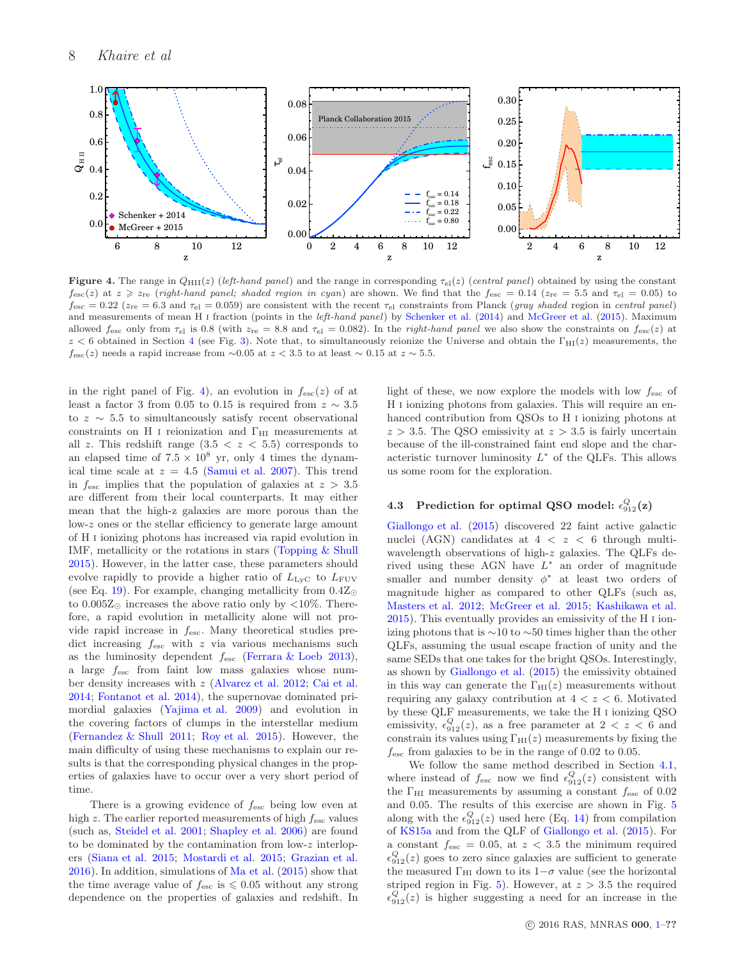

<span id="page-7-0"></span>Figure 4. The range in  $Q_{\text{HII}}(z)$  (left-hand panel) and the range in corresponding  $\tau_{el}(z)$  (central panel) obtained by using the constant  $f_{\rm esc}(z)$  at  $z \geq z_{\rm re}$  (right-hand panel; shaded region in cyan) are shown. We find that the  $f_{\rm esc} = 0.14$  ( $z_{\rm re} = 5.5$  and  $\tau_{\rm el} = 0.05$ ) to  $f_{\text{esc}} = 0.22$  ( $z_{\text{re}} = 6.3$  and  $\tau_{\text{el}} = 0.059$ ) are consistent with the recent  $\tau_{\text{el}}$  constraints from Planck (gray shaded region in central panel) and measurements of mean H I fraction (points in the *left-hand panel*) by [Schenker et al.](#page-11-30) [\(2014](#page-11-30)) and [McGreer et al.](#page-11-31) [\(2015](#page-11-31)). Maximum allowed  $f_{\rm esc}$  only from  $\tau_{\rm el}$  is 0.8 (with  $z_{\rm re} = 8.8$  and  $\tau_{\rm el} = 0.082$ ). In the *right-hand panel* we also show the constraints on  $f_{\rm esc}(z)$  at  $z < 6$  obtained in Section [4](#page-5-0) (see Fig. [3\)](#page-6-0). Note that, to simultaneously reionize the Universe and obtain the  $\Gamma_{\rm HI}(z)$  measurements, the  $f_{\rm esc}(z)$  needs a rapid increase from ∼0.05 at  $z < 3.5$  to at least ∼ 0.15 at  $z \sim 5.5$ .

in the right panel of Fig. [4\)](#page-7-0), an evolution in  $f_{\text{esc}}(z)$  of at least a factor 3 from 0.05 to 0.15 is required from  $z \sim 3.5$ to  $z \sim 5.5$  to simultaneously satisfy recent observational constraints on H I reionization and  $\Gamma_{\rm HI}$  measurements at all z. This redshift range  $(3.5 < z < 5.5)$  corresponds to an elapsed time of  $7.5 \times 10^8$  yr, only 4 times the dynamical time scale at  $z = 4.5$  [\(Samui et al. 2007\)](#page-11-75). This trend in  $f_{\text{esc}}$  implies that the population of galaxies at  $z > 3.5$ are different from their local counterparts. It may either mean that the high-z galaxies are more porous than the low-z ones or the stellar efficiency to generate large amount of H i ionizing photons has increased via rapid evolution in IMF, metallicity or the rotations in stars [\(Topping & Shull](#page-11-64) [2015](#page-11-64)). However, in the latter case, these parameters should evolve rapidly to provide a higher ratio of  $L_{\text{LyC}}$  to  $L_{\text{FUV}}$ (see Eq. [19\)](#page-5-1). For example, changing metallicity from  $0.4Z_{\odot}$ to  $0.005Z_{\odot}$  increases the above ratio only by <10%. Therefore, a rapid evolution in metallicity alone will not provide rapid increase in fesc. Many theoretical studies predict increasing  $f_{\text{esc}}$  with  $z$  via various mechanisms such as the luminosity dependent  $f_{\text{esc}}$  [\(Ferrara & Loeb 2013](#page-10-38)), a large fesc from faint low mass galaxies whose number density increases with z [\(Alvarez et al. 2012](#page-10-39); [Cai et al.](#page-10-40) [2014](#page-10-40); [Fontanot et al. 2014](#page-10-37)), the supernovae dominated primordial galaxies [\(Yajima et al. 2009](#page-11-76)) and evolution in the covering factors of clumps in the interstellar medium [\(Fernandez & Shull 2011](#page-10-9); [Roy et al. 2015](#page-11-13)). However, the main difficulty of using these mechanisms to explain our results is that the corresponding physical changes in the properties of galaxies have to occur over a very short period of time.

There is a growing evidence of  $f_{\text{esc}}$  being low even at high  $z$ . The earlier reported measurements of high  $f_{\text{esc}}$  values (such as, [Steidel et al. 2001;](#page-11-2) [Shapley et al. 2006](#page-11-3)) are found to be dominated by the contamination from low-z interlopers [\(Siana et al. 2015](#page-11-8); [Mostardi et al. 2015](#page-11-7); [Grazian et al.](#page-11-70) [2016](#page-11-70)). In addition, simulations of [Ma et al.](#page-11-77) [\(2015\)](#page-11-77) show that the time average value of  $f_{\text{esc}}$  is  $\leq 0.05$  without any strong dependence on the properties of galaxies and redshift. In light of these, we now explore the models with low  $f_{\text{esc}}$  of H i ionizing photons from galaxies. This will require an enhanced contribution from QSOs to H i ionizing photons at  $z > 3.5$ . The QSO emissivity at  $z > 3.5$  is fairly uncertain because of the ill-constrained faint end slope and the characteristic turnover luminosity  $L^*$  of the QLFs. This allows us some room for the exploration.

# 4.3 Prediction for optimal QSO model:  $\epsilon^Q_{912}(\mathbf{z})$

[Giallongo et al.](#page-10-20) [\(2015](#page-10-20)) discovered 22 faint active galactic nuclei (AGN) candidates at  $4 < z < 6$  through multiwavelength observations of high-z galaxies. The QLFs derived using these AGN have  $L^*$  an order of magnitude smaller and number density  $\phi^*$  at least two orders of magnitude higher as compared to other QLFs (such as, [Masters et al. 2012](#page-11-54); [McGreer et al. 2015](#page-11-31); [Kashikawa et al.](#page-11-58) [2015\)](#page-11-58). This eventually provides an emissivity of the H i ionizing photons that is ∼10 to ∼50 times higher than the other QLFs, assuming the usual escape fraction of unity and the same SEDs that one takes for the bright QSOs. Interestingly, as shown by [Giallongo et al.](#page-10-20) [\(2015](#page-10-20)) the emissivity obtained in this way can generate the  $\Gamma_{\text{HI}}(z)$  measurements without requiring any galaxy contribution at  $4 < z < 6$ . Motivated by these QLF measurements, we take the H i ionizing QSO emissivity,  $\epsilon_{912}^Q(z)$ , as a free parameter at  $2 < z < 6$  and constrain its values using  $\Gamma_{\text{HI}}(z)$  measurements by fixing the  $f_{\text{esc}}$  from galaxies to be in the range of 0.02 to 0.05.

We follow the same method described in Section [4.1,](#page-5-2) where instead of  $f_{\text{esc}}$  now we find  $\epsilon_{912}^Q(z)$  consistent with the  $\Gamma_{\rm HI}$  measurements by assuming a constant  $f_{\rm esc}$  of 0.02 and 0.05. The results of this exercise are shown in Fig. [5](#page-8-0) along with the  $\epsilon_{912}^Q(z)$  used here (Eq. [14\)](#page-4-5) from compilation of [KS15a](#page-11-25) and from the QLF of [Giallongo et al.](#page-10-20) [\(2015\)](#page-10-20). For a constant  $f_{\text{esc}} = 0.05$ , at  $z < 3.5$  the minimum required  $\epsilon_{912}^Q(z)$  goes to zero since galaxies are sufficient to generate the measured  $\Gamma_{\text{HI}}$  down to its 1– $\sigma$  value (see the horizontal striped region in Fig. [5\)](#page-8-0). However, at  $z > 3.5$  the required  $\epsilon_{912}^Q(z)$  is higher suggesting a need for an increase in the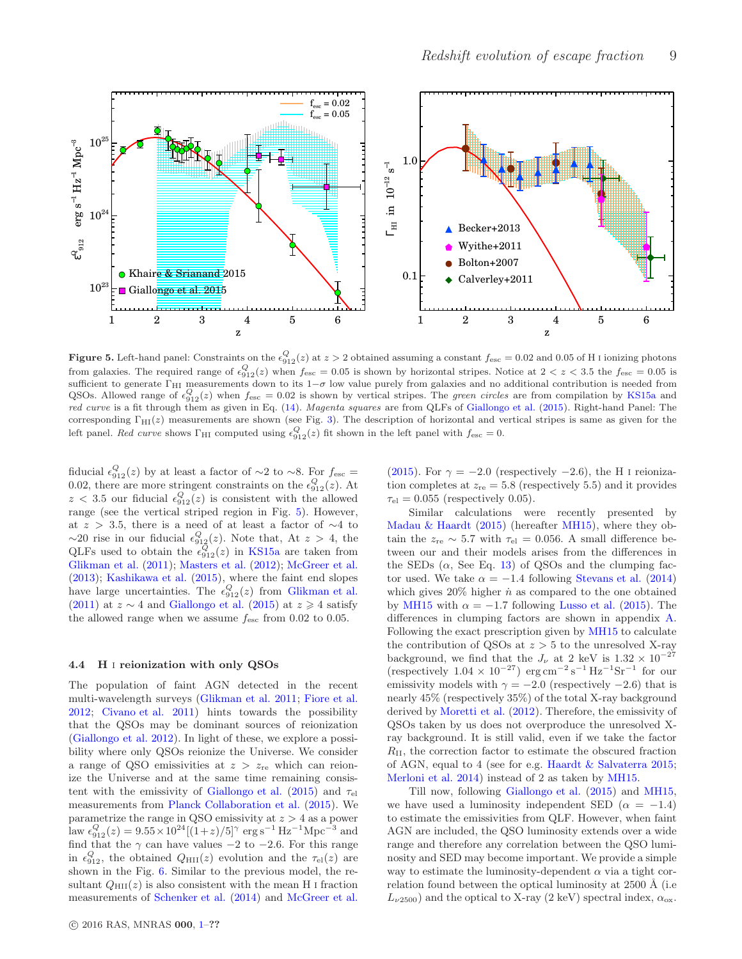

<span id="page-8-0"></span>**Figure 5.** Left-hand panel: Constraints on the  $\epsilon_{912}^{Q}(z)$  at  $z > 2$  obtained assuming a constant  $f_{\text{esc}} = 0.02$  and 0.05 of H I ionizing photons from galaxies. The required range of  $\epsilon_{912}^Q(z)$  when  $f_{\text{esc}} = 0.05$  is shown by horizontal stripes. Notice at  $2 < z < 3.5$  the  $f_{\text{esc}} = 0.05$  is sufficient to generate  $\Gamma_{\rm HI}$  measurements down to its 1 $-\sigma$  low value purely from galaxies and no additional contribution is needed from QSOs. Allowed range of  $\epsilon_{912}^Q(z)$  when  $f_{\text{esc}} = 0.02$  is shown by vertical stripes. The green circles are from compilation by [KS15a](#page-11-25) and red curve is a fit through them as given in Eq. [\(14\)](#page-4-5). Magenta squares are from QLFs of [Giallongo et al.](#page-10-20) [\(2015](#page-10-20)). Right-hand Panel: The corresponding  $\Gamma_{\text{HI}}(z)$  measurements are shown (see Fig. [3\)](#page-6-0). The description of horizontal and vertical stripes is same as given for the left panel. Red curve shows  $\Gamma_{\text{HI}}$  computed using  $\epsilon_{912}^{Q}(z)$  fit shown in the left panel with  $f_{\text{esc}} = 0$ .

fiducial  $\epsilon_{912}^Q(z)$  by at least a factor of ~2 to ~8. For  $f_{\text{esc}} =$ 0.02, there are more stringent constraints on the  $\epsilon_{912}^Q(z)$ . At  $z < 3.5$  our fiducial  $\epsilon_{912}^Q(z)$  is consistent with the allowed range (see the vertical striped region in Fig. [5\)](#page-8-0). However, at  $z > 3.5$ , there is a need of at least a factor of  $\sim$ 4 to  $\sim$ 20 rise in our fiducial  $\epsilon_{912}^Q(z)$ . Note that, At  $z > 4$ , the QLFs used to obtain the  $\epsilon_{912}^Q(z)$  in [KS15a](#page-11-25) are taken from [Glikman et al.](#page-10-28) [\(2011](#page-10-28)); [Masters et al.](#page-11-54) [\(2012](#page-11-54)); [McGreer et al.](#page-11-57) [\(2013](#page-11-57)); [Kashikawa et al.](#page-11-58) [\(2015\)](#page-11-58), where the faint end slopes have large uncertainties. The  $\epsilon_{912}^Q(z)$  from [Glikman et al.](#page-10-28) [\(2011](#page-10-28)) at  $z \sim 4$  and [Giallongo et al.](#page-10-20) [\(2015\)](#page-10-20) at  $z \ge 4$  satisfy the allowed range when we assume  $f_{\rm esc}$  from 0.02 to 0.05.

## <span id="page-8-1"></span>4.4 H i reionization with only QSOs

The population of faint AGN detected in the recent multi-wavelength surveys [\(Glikman et al. 2011](#page-10-28); [Fiore et al.](#page-10-41) [2012](#page-10-41); [Civano et al. 2011\)](#page-10-42) hints towards the possibility that the QSOs may be dominant sources of reionization [\(Giallongo et al. 2012](#page-10-43)). In light of these, we explore a possibility where only QSOs reionize the Universe. We consider a range of QSO emissivities at  $z > z_{\text{re}}$  which can reionize the Universe and at the same time remaining consis-tent with the emissivity of [Giallongo et al.](#page-10-20) [\(2015](#page-10-20)) and  $\tau_{el}$ measurements from [Planck Collaboration et al.](#page-11-20) [\(2015](#page-11-20)). We parametrize the range in QSO emissivity at  $z > 4$  as a power law  $\epsilon_{912}^Q(z) = 9.55 \times 10^{24} [(1+z)/5]^\gamma \text{ erg s}^{-1} \text{ Hz}^{-1} \text{Mpc}^{-3} \text{ and}$ find that the  $\gamma$  can have values  $-2$  to  $-2.6$ . For this range in  $\epsilon_{912}^Q$ , the obtained  $Q_{\rm HII}(z)$  evolution and the  $\tau_{el}(z)$  are shown in the Fig. [6.](#page-9-1) Similar to the previous model, the resultant  $Q_{\text{HII}}(z)$  is also consistent with the mean H I fraction measurements of [Schenker et al.](#page-11-30) [\(2014\)](#page-11-30) and [McGreer et al.](#page-11-31)

[\(2015](#page-11-31)). For  $\gamma = -2.0$  (respectively  $-2.6$ ), the H I reionization completes at  $z_{\text{re}} = 5.8$  (respectively 5.5) and it provides  $\tau_{el} = 0.055$  (respectively 0.05).

Similar calculations were recently presented by [Madau & Haardt](#page-11-78) [\(2015](#page-11-78)) (hereafter [MH15](#page-11-78)), where they obtain the  $z_{\text{re}} \sim 5.7$  with  $\tau_{\text{el}} = 0.056$ . A small difference between our and their models arises from the differences in the SEDs  $(\alpha, \text{ See Eq. 13})$  of QSOs and the clumping factor used. We take  $\alpha = -1.4$  following [Stevans et al.](#page-11-59) [\(2014](#page-11-59)) which gives  $20\%$  higher  $\dot{n}$  as compared to the one obtained by [MH15](#page-11-78) with  $\alpha = -1.7$  following [Lusso et al.](#page-11-79) [\(2015](#page-11-79)). The differences in clumping factors are shown in appendix [A.](#page-11-71) Following the exact prescription given by [MH15](#page-11-78) to calculate the contribution of QSOs at  $z > 5$  to the unresolved X-ray background, we find that the  $J_{\nu}$  at 2 keV is  $1.32 \times 10^{-27}$  $(\text{respectively } 1.04 \times 10^{-27}) \text{ erg cm}^{-2} \text{ s}^{-1} \text{ Hz}^{-1} \text{Sr}^{-1} \text{ for our}$ emissivity models with  $\gamma = -2.0$  (respectively  $-2.6$ ) that is nearly 45% (respectively 35%) of the total X-ray background derived by [Moretti et al.](#page-11-80) [\(2012](#page-11-80)). Therefore, the emissivity of QSOs taken by us does not overproduce the unresolved Xray background. It is still valid, even if we take the factor  $R_{\rm II}$ , the correction factor to estimate the obscured fraction of AGN, equal to 4 (see for e.g. [Haardt & Salvaterra 2015](#page-11-81); [Merloni et al. 2014](#page-11-82)) instead of 2 as taken by [MH15.](#page-11-78)

Till now, following [Giallongo et al.](#page-10-20) [\(2015](#page-10-20)) and [MH15](#page-11-78), we have used a luminosity independent SED ( $\alpha = -1.4$ ) to estimate the emissivities from QLF. However, when faint AGN are included, the QSO luminosity extends over a wide range and therefore any correlation between the QSO luminosity and SED may become important. We provide a simple way to estimate the luminosity-dependent  $\alpha$  via a tight correlation found between the optical luminosity at  $2500 \text{ Å}$  (i.e.  $L_{\nu 2500}$ ) and the optical to X-ray (2 keV) spectral index,  $\alpha_{\rm ox}$ .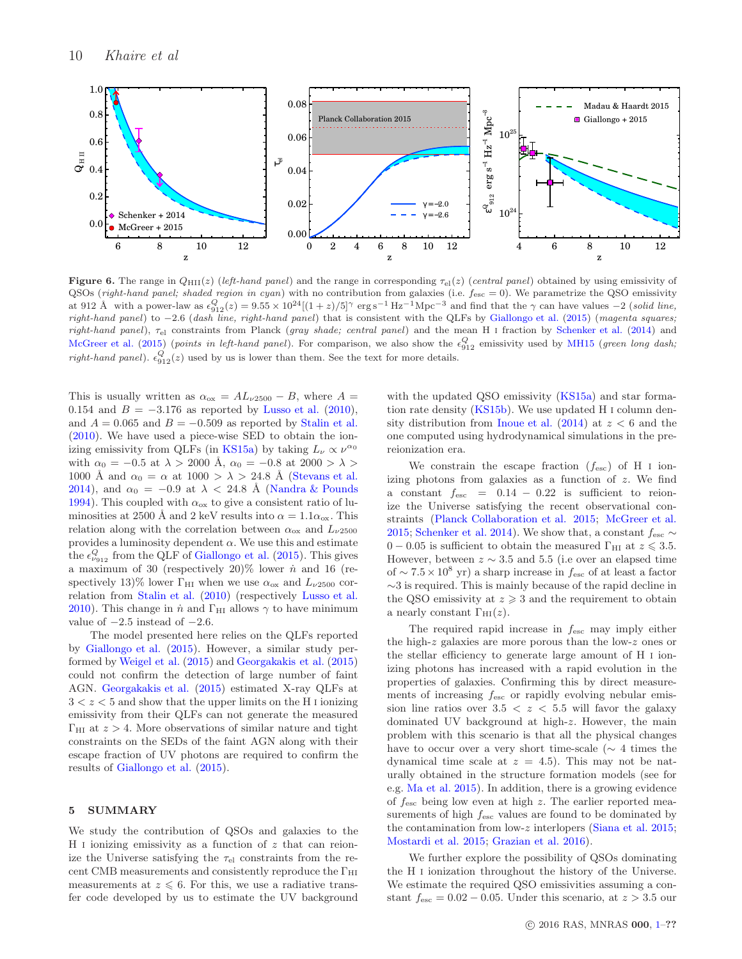

<span id="page-9-1"></span>Figure 6. The range in  $Q_{\text{HII}}(z)$  (left-hand panel) and the range in corresponding  $\tau_{el}(z)$  (central panel) obtained by using emissivity of QSOs (right-hand panel; shaded region in cyan) with no contribution from galaxies (i.e.  $f_{\text{esc}} = 0$ ). We parametrize the QSO emissivity at 912 Å with a power-law as  $\epsilon_{912}^Q(z) = 9.55 \times 10^{24}[(1+z)/5]^\gamma$  erg s<sup>-1</sup> Hz<sup>-1</sup>Mpc<sup>-3</sup> and find that the  $\gamma$  can have values -2 (solid line, right-hand panel) to -2.6 (dash line, right-hand panel) that is consistent with the QLFs by [Giallongo et al.](#page-10-20) [\(2015](#page-10-20)) (magenta squares; right-hand panel),  $\tau_{el}$  constraints from Planck (gray shade; central panel) and the mean H I fraction by [Schenker et al.](#page-11-30) [\(2014\)](#page-11-30) and [McGreer et al.](#page-11-31) [\(2015](#page-11-31)) (points in left-hand panel). For comparison, we also show the  $\epsilon_{912}^Q$  emissivity used by [MH15](#page-11-78) (green long dash; right-hand panel).  $\epsilon_{912}^Q(z)$  used by us is lower than them. See the text for more details.

This is usually written as  $\alpha_{\text{ox}} = AL_{\nu 2500} - B$ , where  $A =$ 0.154 and  $B = -3.176$  as reported by [Lusso et al.](#page-11-83) [\(2010](#page-11-83)), and  $A = 0.065$  and  $B = -0.509$  as reported by [Stalin et al.](#page-11-84) [\(2010](#page-11-84)). We have used a piece-wise SED to obtain the ion-izing emissivity from QLFs (in [KS15a\)](#page-11-25) by taking  $L_{\nu} \propto \nu^{\alpha_0}$ with  $\alpha_0 = -0.5$  at  $\lambda > 2000$  Å,  $\alpha_0 = -0.8$  at  $2000 > \lambda >$ 1000 Å and  $\alpha_0 = \alpha$  at 1000 >  $\lambda$  > 24.8 Å [\(Stevans et al.](#page-11-59) [2014](#page-11-59)), and  $\alpha_0 = -0.9$  at  $\lambda < 24.8$  Å [\(Nandra & Pounds](#page-11-85) [1994](#page-11-85)). This coupled with  $\alpha_{\text{ox}}$  to give a consistent ratio of luminosities at 2500 Å and 2 keV results into  $\alpha = 1.1 \alpha_{\text{ox}}$ . This relation along with the correlation between  $\alpha_{\text{ox}}$  and  $L_{\nu 2500}$ provides a luminosity dependent  $\alpha$ . We use this and estimate the  $\epsilon_{\nu_{912}}^Q$  from the QLF of [Giallongo et al.](#page-10-20) [\(2015](#page-10-20)). This gives a maximum of 30 (respectively  $20\%$  lower  $\dot{n}$  and 16 (respectively 13)% lower  $\Gamma_{\rm HI}$  when we use  $\alpha_{\rm ox}$  and  $L_{\nu 2500}$  correlation from [Stalin et al.](#page-11-84) [\(2010\)](#page-11-84) (respectively [Lusso et al.](#page-11-83) [2010](#page-11-83)). This change in  $\dot{n}$  and  $\Gamma_{\rm HI}$  allows  $\gamma$  to have minimum value of  $-2.5$  instead of  $-2.6$ .

The model presented here relies on the QLFs reported by [Giallongo et al.](#page-10-20) [\(2015](#page-10-20)). However, a similar study performed by [Weigel et al.](#page-11-86) [\(2015\)](#page-11-86) and [Georgakakis et al.](#page-10-44) [\(2015](#page-10-44)) could not confirm the detection of large number of faint AGN. [Georgakakis et al.](#page-10-44) [\(2015\)](#page-10-44) estimated X-ray QLFs at  $3 < z < 5$  and show that the upper limits on the H I ionizing emissivity from their QLFs can not generate the measured  $\Gamma_{\text{HI}}$  at  $z > 4$ . More observations of similar nature and tight constraints on the SEDs of the faint AGN along with their escape fraction of UV photons are required to confirm the results of [Giallongo et al.](#page-10-20) [\(2015](#page-10-20)).

#### <span id="page-9-0"></span>5 SUMMARY

We study the contribution of QSOs and galaxies to the H I ionizing emissivity as a function of  $z$  that can reionize the Universe satisfying the  $\tau_{el}$  constraints from the recent CMB measurements and consistently reproduce the  $\Gamma_{\rm HI}$ measurements at  $z \leq 6$ . For this, we use a radiative transfer code developed by us to estimate the UV background

with the updated QSO emissivity [\(KS15a\)](#page-11-25) and star formation rate density [\(KS15b](#page-11-26)). We use updated H i column density distribution from Inque et al.  $(2014)$  at  $z < 6$  and the one computed using hydrodynamical simulations in the prereionization era.

We constrain the escape fraction  $(f_{\text{esc}})$  of H i ionizing photons from galaxies as a function of z. We find a constant  $f_{\text{esc}}$  = 0.14 – 0.22 is sufficient to reionize the Universe satisfying the recent observational constraints [\(Planck Collaboration et al. 2015;](#page-11-20) [McGreer et al.](#page-11-31) [2015;](#page-11-31) [Schenker et al. 2014](#page-11-30)). We show that, a constant  $f_{\text{esc}} \sim$  $0 - 0.05$  is sufficient to obtain the measured  $\Gamma_{\text{HI}}$  at  $z \leq 3.5$ . However, between  $z \sim 3.5$  and 5.5 (i.e over an elapsed time of  $\sim 7.5 \times 10^8$  yr) a sharp increase in  $f_{\rm esc}$  of at least a factor ∼3 is required. This is mainly because of the rapid decline in the QSO emissivity at  $z \geqslant 3$  and the requirement to obtain a nearly constant  $\Gamma_{\text{HI}}(z)$ .

The required rapid increase in  $f_{\text{esc}}$  may imply either the high-z galaxies are more porous than the low-z ones or the stellar efficiency to generate large amount of H i ionizing photons has increased with a rapid evolution in the properties of galaxies. Confirming this by direct measurements of increasing  $f_{\text{esc}}$  or rapidly evolving nebular emission line ratios over  $3.5 < z < 5.5$  will favor the galaxy dominated UV background at high-z. However, the main problem with this scenario is that all the physical changes have to occur over a very short time-scale ( $\sim$  4 times the dynamical time scale at  $z = 4.5$ . This may not be naturally obtained in the structure formation models (see for e.g. [Ma et al. 2015](#page-11-77)). In addition, there is a growing evidence of  $f_{\text{esc}}$  being low even at high z. The earlier reported measurements of high  $f_{\text{esc}}$  values are found to be dominated by the contamination from low-z interlopers [\(Siana et al. 2015](#page-11-8); [Mostardi et al. 2015;](#page-11-7) [Grazian et al. 2016](#page-11-70)).

We further explore the possibility of QSOs dominating the H i ionization throughout the history of the Universe. We estimate the required QSO emissivities assuming a constant  $f_{\text{esc}} = 0.02 - 0.05$ . Under this scenario, at  $z > 3.5$  our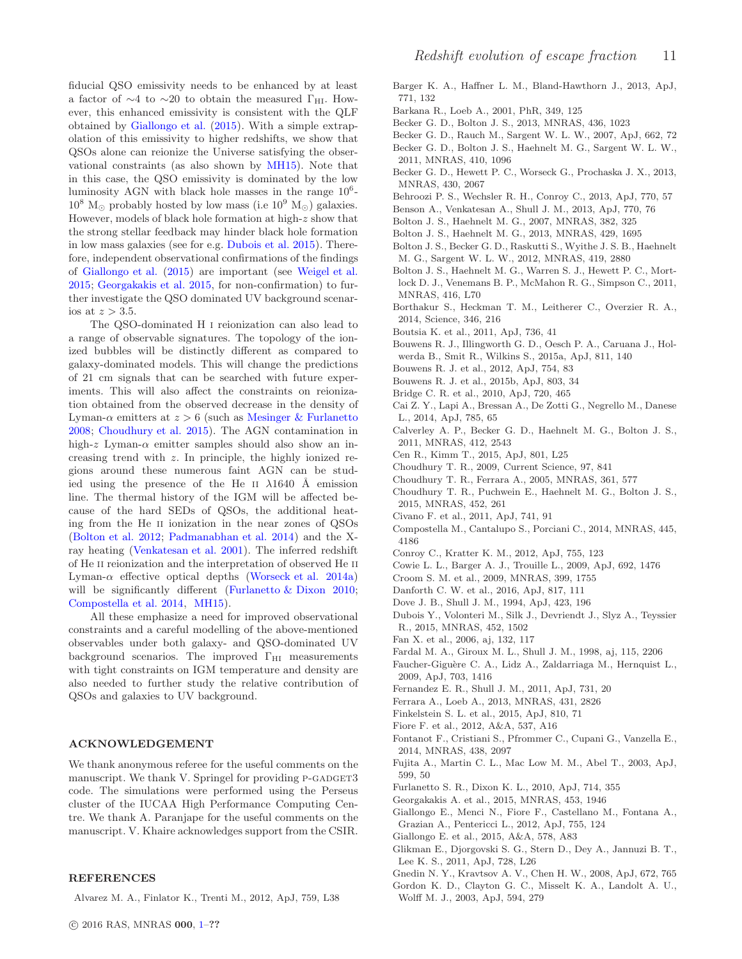fiducial QSO emissivity needs to be enhanced by at least a factor of  $\sim$ 4 to  $\sim$ 20 to obtain the measured Γ<sub>HI</sub>. However, this enhanced emissivity is consistent with the QLF obtained by [Giallongo et al.](#page-10-20) [\(2015](#page-10-20)). With a simple extrapolation of this emissivity to higher redshifts, we show that QSOs alone can reionize the Universe satisfying the observational constraints (as also shown by [MH15\)](#page-11-78). Note that in this case, the QSO emissivity is dominated by the low luminosity AGN with black hole masses in the range  $10^6$ - $10^8$  M<sub>☉</sub> probably hosted by low mass (i.e  $10^9$  M<sub>☉</sub>) galaxies. However, models of black hole formation at high-z show that the strong stellar feedback may hinder black hole formation in low mass galaxies (see for e.g. [Dubois et al. 2015](#page-10-45)). Therefore, independent observational confirmations of the findings of [Giallongo et al.](#page-10-20) [\(2015](#page-10-20)) are important (see [Weigel et al.](#page-11-86) [2015](#page-11-86); [Georgakakis et al. 2015](#page-10-44), for non-confirmation) to further investigate the QSO dominated UV background scenarios at  $z > 3.5$ .

The QSO-dominated H i reionization can also lead to a range of observable signatures. The topology of the ionized bubbles will be distinctly different as compared to galaxy-dominated models. This will change the predictions of 21 cm signals that can be searched with future experiments. This will also affect the constraints on reionization obtained from the observed decrease in the density of Lyman- $\alpha$  emitters at  $z > 6$  (such as [Mesinger & Furlanetto](#page-11-87) [2008](#page-11-87); [Choudhury et al. 2015](#page-10-23)). The AGN contamination in high-z Lyman- $\alpha$  emitter samples should also show an increasing trend with z. In principle, the highly ionized regions around these numerous faint AGN can be studied using the presence of the He II  $\lambda$ 1640 Å emission line. The thermal history of the IGM will be affected because of the hard SEDs of QSOs, the additional heating from the He ii ionization in the near zones of QSOs [\(Bolton et al. 2012;](#page-10-46) [Padmanabhan et al. 2014\)](#page-11-88) and the Xray heating [\(Venkatesan et al. 2001](#page-11-89)). The inferred redshift of He II reionization and the interpretation of observed He II Lyman- $\alpha$  effective optical depths [\(Worseck et al. 2014a](#page-11-90)) will be significantly different [\(Furlanetto & Dixon 2010](#page-10-47); [Compostella et al. 2014](#page-10-48), [MH15\)](#page-11-78).

All these emphasize a need for improved observational constraints and a careful modelling of the above-mentioned observables under both galaxy- and QSO-dominated UV background scenarios. The improved  $\Gamma_{\rm HI}$  measurements with tight constraints on IGM temperature and density are also needed to further study the relative contribution of QSOs and galaxies to UV background.

# ACKNOWLEDGEMENT

We thank anonymous referee for the useful comments on the manuscript. We thank V. Springel for providing P-GADGET3 code. The simulations were performed using the Perseus cluster of the IUCAA High Performance Computing Centre. We thank A. Paranjape for the useful comments on the manuscript. V. Khaire acknowledges support from the CSIR.

#### REFERENCES

<span id="page-10-39"></span>Alvarez M. A., Finlator K., Trenti M., 2012, ApJ, 759, L38

- <span id="page-10-6"></span>Barger K. A., Haffner L. M., Bland-Hawthorn J., 2013, ApJ, 771, 132
- <span id="page-10-25"></span>Barkana R., Loeb A., 2001, PhR, 349, 125
- <span id="page-10-17"></span>Becker G. D., Bolton J. S., 2013, MNRAS, 436, 1023
- <span id="page-10-35"></span>Becker G. D., Rauch M., Sargent W. L. W., 2007, ApJ, 662, 72 Becker G. D., Bolton J. S., Haehnelt M. G., Sargent W. L. W.,
- <span id="page-10-33"></span>2011, MNRAS, 410, 1096
- <span id="page-10-22"></span>Becker G. D., Hewett P. C., Worseck G., Prochaska J. X., 2013, MNRAS, 430, 2067
- <span id="page-10-26"></span>Behroozi P. S., Wechsler R. H., Conroy C., 2013, ApJ, 770, 57
- <span id="page-10-10"></span>Benson A., Venkatesan A., Shull J. M., 2013, ApJ, 770, 76
- <span id="page-10-15"></span>Bolton J. S., Haehnelt M. G., 2007, MNRAS, 382, 325
- <span id="page-10-24"></span>Bolton J. S., Haehnelt M. G., 2013, MNRAS, 429, 1695
- <span id="page-10-46"></span>Bolton J. S., Becker G. D., Raskutti S., Wyithe J. S. B., Haehnelt M. G., Sargent W. L. W., 2012, MNRAS, 419, 2880
- <span id="page-10-1"></span>Bolton J. S., Haehnelt M. G., Warren S. J., Hewett P. C., Mortlock D. J., Venemans B. P., McMahon R. G., Simpson C., 2011, MNRAS, 416, L70
- <span id="page-10-3"></span>Borthakur S., Heckman T. M., Leitherer C., Overzier R. A., 2014, Science, 346, 216
- <span id="page-10-2"></span>Boutsia K. et al., 2011, ApJ, 736, 41
- <span id="page-10-14"></span>Bouwens R. J., Illingworth G. D., Oesch P. A., Caruana J., Holwerda B., Smit R., Wilkins S., 2015a, ApJ, 811, 140
- <span id="page-10-12"></span>Bouwens R. J. et al., 2012, ApJ, 754, 83
- <span id="page-10-32"></span>Bouwens R. J. et al., 2015b, ApJ, 803, 34
- <span id="page-10-5"></span>Bridge C. R. et al., 2010, ApJ, 720, 465
- <span id="page-10-40"></span>Cai Z. Y., Lapi A., Bressan A., De Zotti G., Negrello M., Danese L., 2014, ApJ, 785, 65
- <span id="page-10-16"></span>Calverley A. P., Becker G. D., Haehnelt M. G., Bolton J. S., 2011, MNRAS, 412, 2543
- <span id="page-10-11"></span>Cen R., Kimm T., 2015, ApJ, 801, L25
- <span id="page-10-21"></span>Choudhury T. R., 2009, Current Science, 97, 841
- <span id="page-10-36"></span>Choudhury T. R., Ferrara A., 2005, MNRAS, 361, 577
- <span id="page-10-23"></span>Choudhury T. R., Puchwein E., Haehnelt M. G., Bolton J. S., 2015, MNRAS, 452, 261
- <span id="page-10-42"></span>Civano F. et al., 2011, ApJ, 741, 91
- <span id="page-10-48"></span>Compostella M., Cantalupo S., Porciani C., 2014, MNRAS, 445, 4186
- <span id="page-10-31"></span>Conroy C., Kratter K. M., 2012, ApJ, 755, 123
- <span id="page-10-4"></span>Cowie L. L., Barger A. J., Trouille L., 2009, ApJ, 692, 1476
- <span id="page-10-27"></span>Croom S. M. et al., 2009, MNRAS, 399, 1755
- <span id="page-10-34"></span>Danforth C. W. et al., 2016, ApJ, 817, 111
- <span id="page-10-7"></span>Dove J. B., Shull J. M., 1994, ApJ, 423, 196
- <span id="page-10-45"></span>Dubois Y., Volonteri M., Silk J., Devriendt J., Slyz A., Teyssier R., 2015, MNRAS, 452, 1502
- <span id="page-10-0"></span>Fan X. et al., 2006, aj, 132, 117
- <span id="page-10-18"></span>Fardal M. A., Giroux M. L., Shull J. M., 1998, aj, 115, 2206
- <span id="page-10-19"></span>Faucher-Giguère C. A., Lidz A., Zaldarriaga M., Hernquist L., 2009, ApJ, 703, 1416
- <span id="page-10-9"></span>Fernandez E. R., Shull J. M., 2011, ApJ, 731, 20
- <span id="page-10-38"></span>Ferrara A., Loeb A., 2013, MNRAS, 431, 2826
- <span id="page-10-13"></span>Finkelstein S. L. et al., 2015, ApJ, 810, 71
- <span id="page-10-41"></span>Fiore F. et al., 2012, A&A, 537, A16
- <span id="page-10-37"></span>Fontanot F., Cristiani S., Pfrommer C., Cupani G., Vanzella E., 2014, MNRAS, 438, 2097
- <span id="page-10-30"></span>Fujita A., Martin C. L., Mac Low M. M., Abel T., 2003, ApJ, 599, 50
- <span id="page-10-47"></span>Furlanetto S. R., Dixon K. L., 2010, ApJ, 714, 355
- <span id="page-10-44"></span>Georgakakis A. et al., 2015, MNRAS, 453, 1946
- <span id="page-10-43"></span>Giallongo E., Menci N., Fiore F., Castellano M., Fontana A., Grazian A., Pentericci L., 2012, ApJ, 755, 124
- <span id="page-10-20"></span>Giallongo E. et al., 2015, A&A, 578, A83
- <span id="page-10-28"></span>Glikman E., Djorgovski S. G., Stern D., Dey A., Jannuzi B. T., Lee K. S., 2011, ApJ, 728, L26
- <span id="page-10-8"></span>Gnedin N. Y., Kravtsov A. V., Chen H. W., 2008, ApJ, 672, 765
- <span id="page-10-29"></span>Gordon K. D., Clayton G. C., Misselt K. A., Landolt A. U., Wolff M. J., 2003, ApJ, 594, 279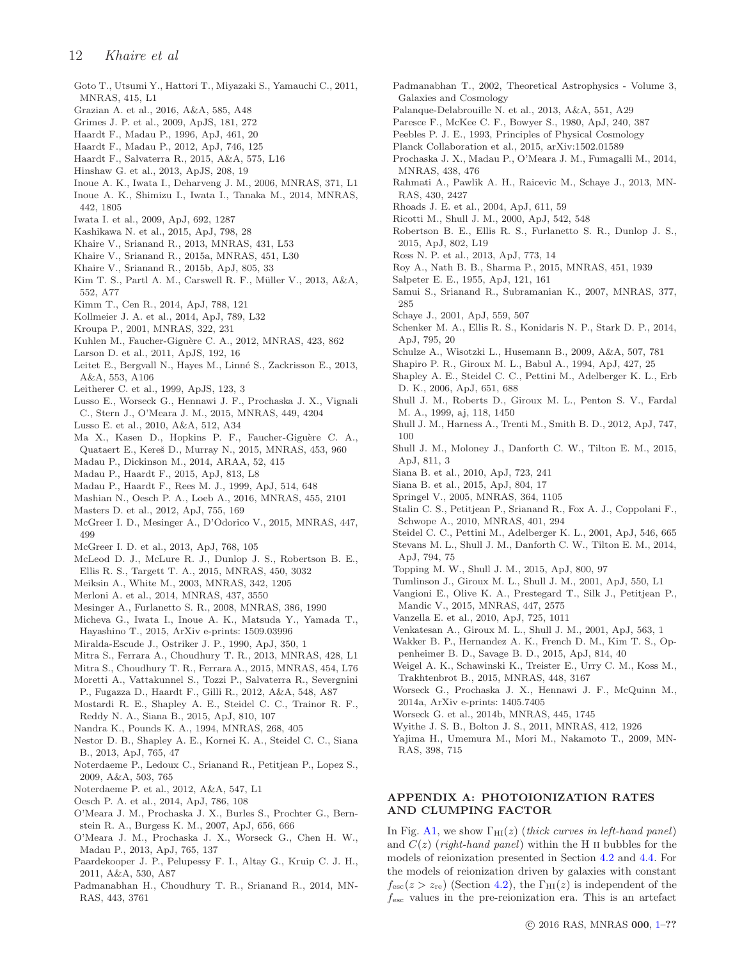- <span id="page-11-0"></span>Goto T., Utsumi Y., Hattori T., Miyazaki S., Yamauchi C., 2011, MNRAS, 415, L1
- <span id="page-11-70"></span>Grazian A. et al., 2016, A&A, 585, A48
- <span id="page-11-9"></span>Grimes J. P. et al., 2009, ApJS, 181, 272
- <span id="page-11-34"></span>Haardt F., Madau P., 1996, ApJ, 461, 20
- <span id="page-11-16"></span>Haardt F., Madau P., 2012, ApJ, 746, 125
- <span id="page-11-81"></span>Haardt F., Salvaterra R., 2015, A&A, 575, L16
- <span id="page-11-15"></span>Hinshaw G. et al., 2013, ApJS, 208, 19
- <span id="page-11-36"></span>Inoue A. K., Iwata I., Deharveng J. M., 2006, MNRAS, 371, L1
- <span id="page-11-41"></span>Inoue A. K., Shimizu I., Iwata I., Tanaka M., 2014, MNRAS, 442, 1805
- <span id="page-11-4"></span>Iwata I. et al., 2009, ApJ, 692, 1287
- <span id="page-11-58"></span>Kashikawa N. et al., 2015, ApJ, 798, 28
- <span id="page-11-22"></span>Khaire V., Srianand R., 2013, MNRAS, 431, L53
- <span id="page-11-25"></span>Khaire V., Srianand R., 2015a, MNRAS, 451, L30
- <span id="page-11-26"></span>Khaire V., Srianand R., 2015b, ApJ, 805, 33
- <span id="page-11-14"></span>Kim T. S., Partl A. M., Carswell R. F., Müller V., 2013, A&A, 552, A77
- <span id="page-11-12"></span>Kimm T., Cen R., 2014, ApJ, 788, 121
- <span id="page-11-28"></span>Kollmeier J. A. et al., 2014, ApJ, 789, L32
- <span id="page-11-63"></span>Kroupa P., 2001, MNRAS, 322, 231
- <span id="page-11-17"></span>Kuhlen M., Faucher-Giguère C. A., 2012, MNRAS, 423, 862
- <span id="page-11-1"></span>Larson D. et al., 2011, ApJS, 192, 16
- <span id="page-11-10"></span>Leitet E., Bergvall N., Hayes M., Linné S., Zackrisson E., 2013, A&A, 553, A106
- <span id="page-11-61"></span>Leitherer C. et al., 1999, ApJS, 123, 3
- <span id="page-11-79"></span>Lusso E., Worseck G., Hennawi J. F., Prochaska J. X., Vignali C., Stern J., O'Meara J. M., 2015, MNRAS, 449, 4204
- <span id="page-11-83"></span>Lusso E. et al., 2010, A&A, 512, A34
- <span id="page-11-77"></span>Ma X., Kasen D., Hopkins P. F., Faucher-Giguère C. A., Quataert E., Kereš D., Murray N., 2015, MNRAS, 453, 960
- <span id="page-11-52"></span>Madau P., Dickinson M., 2014, ARAA, 52, 415
- <span id="page-11-78"></span>Madau P., Haardt F., 2015, ApJ, 813, L8
- <span id="page-11-51"></span>Madau P., Haardt F., Rees M. J., 1999, ApJ, 514, 648
- <span id="page-11-72"></span>Mashian N., Oesch P. A., Loeb A., 2016, MNRAS, 455, 2101
- <span id="page-11-54"></span>Masters D. et al., 2012, ApJ, 755, 169
- <span id="page-11-31"></span>McGreer I. D., Mesinger A., D'Odorico V., 2015, MNRAS, 447, 499
- <span id="page-11-57"></span>McGreer I. D. et al., 2013, ApJ, 768, 105
- <span id="page-11-66"></span>McLeod D. J., McLure R. J., Dunlop J. S., Robertson B. E., Ellis R. S., Targett T. A., 2015, MNRAS, 450, 3032
- <span id="page-11-37"></span>Meiksin A., White M., 2003, MNRAS, 342, 1205
- <span id="page-11-82"></span>Merloni A. et al., 2014, MNRAS, 437, 3550
- <span id="page-11-87"></span>Mesinger A., Furlanetto S. R., 2008, MNRAS, 386, 1990
- <span id="page-11-6"></span>Micheva G., Iwata I., Inoue A. K., Matsuda Y., Yamada T., Hayashino T., 2015, ArXiv e-prints: 1509.03996
- <span id="page-11-32"></span>Miralda-Escude J., Ostriker J. P., 1990, ApJ, 350, 1
- <span id="page-11-19"></span>Mitra S., Ferrara A., Choudhury T. R., 2013, MNRAS, 428, L1
- <span id="page-11-21"></span>Mitra S., Choudhury T. R., Ferrara A., 2015, MNRAS, 454, L76
- <span id="page-11-80"></span>Moretti A., Vattakunnel S., Tozzi P., Salvaterra R., Severgnini P., Fugazza D., Haardt F., Gilli R., 2012, A&A, 548, A87
- <span id="page-11-7"></span>Mostardi R. E., Shapley A. E., Steidel C. C., Trainor R. F., Reddy N. A., Siana B., 2015, ApJ, 810, 107
- <span id="page-11-85"></span>Nandra K., Pounds K. A., 1994, MNRAS, 268, 405
- <span id="page-11-5"></span>Nestor D. B., Shapley A. E., Kornei K. A., Steidel C. C., Siana B., 2013, ApJ, 765, 47
- <span id="page-11-45"></span>Noterdaeme P., Ledoux C., Srianand R., Petitjean P., Lopez S., 2009, A&A, 503, 765
- <span id="page-11-46"></span>Noterdaeme P. et al., 2012, A&A, 547, L1
- <span id="page-11-65"></span>Oesch P. A. et al., 2014, ApJ, 786, 108
- <span id="page-11-44"></span>O'Meara J. M., Prochaska J. X., Burles S., Prochter G., Bernstein R. A., Burgess K. M., 2007, ApJ, 656, 666
- <span id="page-11-43"></span>O'Meara J. M., Prochaska J. X., Worseck G., Chen H. W., Madau P., 2013, ApJ, 765, 137
- <span id="page-11-60"></span>Paardekooper J. P., Pelupessy F. I., Altay G., Kruip C. J. H., 2011, A&A, 530, A87
- <span id="page-11-88"></span>Padmanabhan H., Choudhury T. R., Srianand R., 2014, MN-RAS, 443, 3761
- <span id="page-11-40"></span>Padmanabhan T., 2002, Theoretical Astrophysics - Volume 3, Galaxies and Cosmology
- <span id="page-11-56"></span>Palanque-Delabrouille N. et al., 2013, A&A, 551, A29
- <span id="page-11-39"></span>Paresce F., McKee C. F., Bowyer S., 1980, ApJ, 240, 387
- <span id="page-11-38"></span>Peebles P. J. E., 1993, Principles of Physical Cosmology
- <span id="page-11-20"></span>Planck Collaboration et al., 2015, arXiv:1502.01589
- <span id="page-11-42"></span>Prochaska J. X., Madau P., O'Meara J. M., Fumagalli M., 2014, MNRAS, 438, 476
- <span id="page-11-49"></span>Rahmati A., Pawlik A. H., Raicevic M., Schaye J., 2013, MN-RAS, 430, 2427
- <span id="page-11-24"></span>Rhoads J. E. et al., 2004, ApJ, 611, 59
- <span id="page-11-11"></span>Ricotti M., Shull J. M., 2000, ApJ, 542, 548
- <span id="page-11-73"></span>Robertson B. E., Ellis R. S., Furlanetto S. R., Dunlop J. S., 2015, ApJ, 802, L19
- <span id="page-11-55"></span>Ross N. P. et al., 2013, ApJ, 773, 14
- <span id="page-11-13"></span>Roy A., Nath B. B., Sharma P., 2015, MNRAS, 451, 1939
- <span id="page-11-62"></span>Salpeter E. E., 1955, ApJ, 121, 161
- <span id="page-11-75"></span>Samui S., Srianand R., Subramanian K., 2007, MNRAS, 377, 285
- <span id="page-11-50"></span>Schaye J., 2001, ApJ, 559, 507
- <span id="page-11-30"></span>Schenker M. A., Ellis R. S., Konidaris N. P., Stark D. P., 2014, ApJ, 795, 20
- <span id="page-11-53"></span>Schulze A., Wisotzki L., Husemann B., 2009, A&A, 507, 781
- <span id="page-11-33"></span>Shapiro P. R., Giroux M. L., Babul A., 1994, ApJ, 427, 25
- <span id="page-11-3"></span>Shapley A. E., Steidel C. C., Pettini M., Adelberger K. L., Erb D. K., 2006, ApJ, 651, 688
- <span id="page-11-35"></span>Shull J. M., Roberts D., Giroux M. L., Penton S. V., Fardal M. A., 1999, aj, 118, 1450
- <span id="page-11-18"></span>Shull J. M., Harness A., Trenti M., Smith B. D., 2012, ApJ, 747, 100
- <span id="page-11-29"></span>Shull J. M., Moloney J., Danforth C. W., Tilton E. M., 2015, ApJ, 811, 3
- <span id="page-11-68"></span>Siana B. et al., 2010, ApJ, 723, 241
- <span id="page-11-8"></span>Siana B. et al., 2015, ApJ, 804, 17
- <span id="page-11-48"></span>Springel V., 2005, MNRAS, 364, 1105
- <span id="page-11-84"></span>Stalin C. S., Petitjean P., Srianand R., Fox A. J., Coppolani F., Schwope A., 2010, MNRAS, 401, 294
- <span id="page-11-2"></span>Steidel C. C., Pettini M., Adelberger K. L., 2001, ApJ, 546, 665
- <span id="page-11-59"></span>Stevans M. L., Shull J. M., Danforth C. W., Tilton E. M., 2014, ApJ, 794, 75
- <span id="page-11-64"></span>Topping M. W., Shull J. M., 2015, ApJ, 800, 97
- <span id="page-11-23"></span>Tumlinson J., Giroux M. L., Shull J. M., 2001, ApJ, 550, L1
- <span id="page-11-74"></span>Vangioni E., Olive K. A., Prestegard T., Silk J., Petitjean P., Mandic V., 2015, MNRAS, 447, 2575
- <span id="page-11-69"></span>Vanzella E. et al., 2010, ApJ, 725, 1011
- <span id="page-11-89"></span>Venkatesan A., Giroux M. L., Shull J. M., 2001, ApJ, 563, 1
- <span id="page-11-67"></span>Wakker B. P., Hernandez A. K., French D. M., Kim T. S., Oppenheimer B. D., Savage B. D., 2015, ApJ, 814, 40
- <span id="page-11-86"></span>Weigel A. K., Schawinski K., Treister E., Urry C. M., Koss M., Trakhtenbrot B., 2015, MNRAS, 448, 3167
- <span id="page-11-90"></span>Worseck G., Prochaska J. X., Hennawi J. F., McQuinn M., 2014a, ArXiv e-prints: 1405.7405
- <span id="page-11-47"></span>Worseck G. et al., 2014b, MNRAS, 445, 1745
- <span id="page-11-27"></span>Wyithe J. S. B., Bolton J. S., 2011, MNRAS, 412, 1926
- <span id="page-11-76"></span>Yajima H., Umemura M., Mori M., Nakamoto T., 2009, MN-RAS, 398, 715

# <span id="page-11-71"></span>APPENDIX A: PHOTOIONIZATION RATES AND CLUMPING FACTOR

In Fig. [A1,](#page-12-0) we show  $\Gamma_{\rm HI}(z)$  (thick curves in left-hand panel) and  $C(z)$  (right-hand panel) within the H  $\scriptstyle\rm II$  bubbles for the models of reionization presented in Section [4.2](#page-6-2) and [4.4.](#page-8-1) For the models of reionization driven by galaxies with constant  $f_{\rm esc}(z > z_{\rm re})$  (Section [4.2\)](#page-6-2), the  $\Gamma_{\rm HI}(z)$  is independent of the  $f_{\text{esc}}$  values in the pre-reionization era. This is an artefact